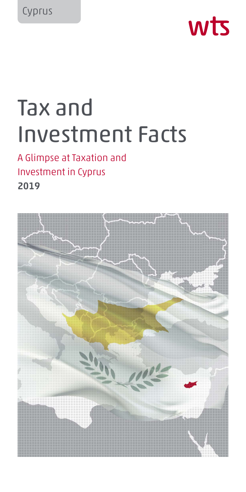

# Tax and Investment Facts

## A Glimpse at Taxation and Investment in Cyprus 2019

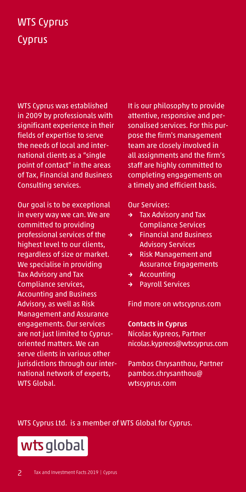# WTS Cyprus **Cyprus**

WTS Cyprus was established in 2009 by professionals with significant experience in their fields of expertise to serve the needs of local and international clients as a "single point of contact" in the areas of Tax, Financial and Business Consulting services.

Our goal is to be exceptional in every way we can. We are committed to providing professional services of the highest level to our clients, regardless of size or market. We specialise in providing Tax Advisory and Tax Compliance services, Accounting and Business Advisory, as well as Risk Management and Assurance engagements. Our services are not just limited to Cyprusoriented matters. We can serve clients in various other jurisdictions through our international network of experts, WTS Global.

It is our philosophy to provide attentive, responsive and personalised services. For this purpose the firm's management team are closely involved in all assignments and the firm's staff are highly committed to completing engagements on a timely and efficient basis.

Our Services:

- → Tax Advisory and Tax Compliance Services
- → Financial and Business Advisory Services
- → Risk Management and Assurance Engagements
- → Accounting
- → Payroll Services

Find more on wtscyprus.com

Contacts in Cyprus Nicolas Kypreos, Partner

nicolas.kypreos@wtscyprus.com

Pambos Chrysanthou, Partner pambos.chrysanthou@ wtscyprus.com

WTS Cyprus Ltd. is a member of WTS Global for Cyprus.

wts global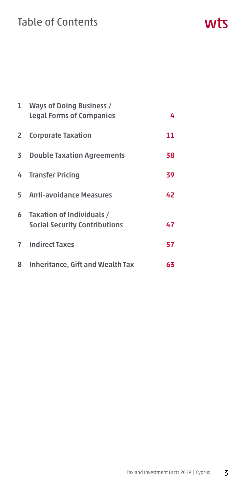## Table of Contents

| $\mathbf{1}$ | <b>Ways of Doing Business /</b><br><b>Legal Forms of Companies</b>  | 4  |
|--------------|---------------------------------------------------------------------|----|
|              | 2 Corporate Taxation                                                | 11 |
|              | <b>3</b> Double Taxation Agreements                                 | 38 |
|              | 4 Transfer Pricing                                                  | 39 |
|              | 5 Anti-avoidance Measures                                           | 42 |
|              | 6 Taxation of Individuals /<br><b>Social Security Contributions</b> | 47 |
|              | <b>7</b> Indirect Taxes                                             | 57 |
| 8            | <b>Inheritance, Gift and Wealth Tax</b>                             | 63 |

wts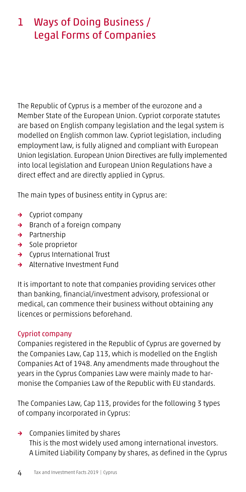## 1 Ways of Doing Business / Legal Forms of Companies

The Republic of Cyprus is a member of the eurozone and a Member State of the European Union. Cypriot corporate statutes are based on English company legislation and the legal system is modelled on English common law. Cypriot legislation, including employment law, is fully aligned and compliant with European Union legislation. European Union Directives are fully implemented into local legislation and European Union Regulations have a direct effect and are directly applied in Cyprus.

The main types of business entity in Cyprus are:

- → Cypriot company
- → Branch of a foreign company
- → Partnership
- → Sole proprietor
- → Cyprus International Trust
- → Alternative Investment Fund

It is important to note that companies providing services other than banking, financial/investment advisory, professional or medical, can commence their business without obtaining any licences or permissions beforehand.

#### Cypriot company

Companies registered in the Republic of Cyprus are governed by the Companies Law, Cap 113, which is modelled on the English Companies Act of 1948. Any amendments made throughout the years in the Cyprus Companies Law were mainly made to harmonise the Companies Law of the Republic with EU standards.

The Companies Law, Cap 113, provides for the following 3 types of company incorporated in Cyprus:

→ Companies limited by shares This is the most widely used among international investors. A Limited Liability Company by shares, as defined in the Cyprus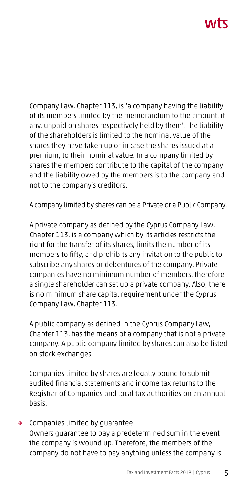# ハバて

Company Law, Chapter 113, is 'a company having the liability of its members limited by the memorandum to the amount, if any, unpaid on shares respectively held by them'. The liability of the shareholders is limited to the nominal value of the shares they have taken up or in case the shares issued at a premium, to their nominal value. In a company limited by shares the members contribute to the capital of the company and the liability owed by the members is to the company and not to the company's creditors.

A company limited by shares can be a Private or a Public Company.

A private company as defined by the Cyprus Company Law, Chapter 113, is a company which by its articles restricts the right for the transfer of its shares, limits the number of its members to fifty, and prohibits any invitation to the public to subscribe any shares or debentures of the company. Private companies have no minimum number of members, therefore a single shareholder can set up a private company. Also, there is no minimum share capital requirement under the Cyprus Company Law, Chapter 113.

A public company as defined in the Cyprus Company Law, Chapter 113, has the means of a company that is not a private company. A public company limited by shares can also be listed on stock exchanges.

Companies limited by shares are legally bound to submit audited financial statements and income tax returns to the Registrar of Companies and local tax authorities on an annual basis.

## → Companies limited by guarantee

Owners guarantee to pay a predetermined sum in the event the company is wound up. Therefore, the members of the company do not have to pay anything unless the company is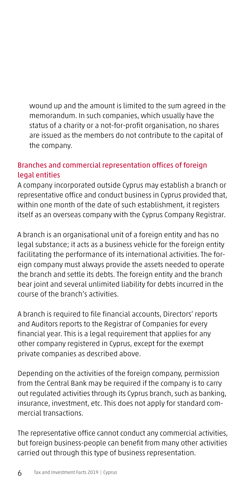wound up and the amount is limited to the sum agreed in the memorandum. In such companies, which usually have the status of a charity or a not-for-profit organisation, no shares are issued as the members do not contribute to the capital of the company.

## Branches and commercial representation offices of foreign legal entities

A company incorporated outside Cyprus may establish a branch or representative office and conduct business in Cyprus provided that, within one month of the date of such establishment, it registers itself as an overseas company with the Cyprus Company Registrar.

A branch is an organisational unit of a foreign entity and has no legal substance; it acts as a business vehicle for the foreign entity facilitating the performance of its international activities. The foreign company must always provide the assets needed to operate the branch and settle its debts. The foreign entity and the branch bear joint and several unlimited liability for debts incurred in the course of the branch's activities.

A branch is required to file financial accounts, Directors' reports and Auditors reports to the Registrar of Companies for every financial year. This is a legal requirement that applies for any other company registered in Cyprus, except for the exempt private companies as described above.

Depending on the activities of the foreign company, permission from the Central Bank may be required if the company is to carry out regulated activities through its Cyprus branch, such as banking, insurance, investment, etc. This does not apply for standard commercial transactions.

The representative office cannot conduct any commercial activities, but foreign business-people can benefit from many other activities carried out through this type of business representation.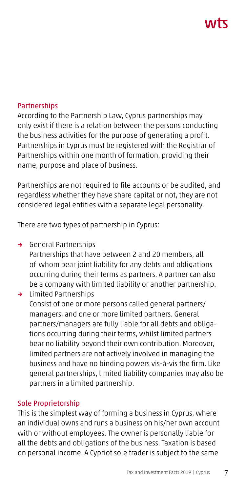# ハバて

#### **Partnerships**

According to the Partnership Law, Cyprus partnerships may only exist if there is a relation between the persons conducting the business activities for the purpose of generating a profit. Partnerships in Cyprus must be registered with the Registrar of Partnerships within one month of formation, providing their name, purpose and place of business.

Partnerships are not required to file accounts or be audited, and regardless whether they have share capital or not, they are not considered legal entities with a separate legal personality.

There are two types of partnership in Cyprus:

→ General Partnerships

Partnerships that have between 2 and 20 members, all of whom bear joint liability for any debts and obligations occurring during their terms as partners. A partner can also be a company with limited liability or another partnership.

→ Limited Partnerships Consist of one or more persons called general partners/ managers, and one or more limited partners. General partners/managers are fully liable for all debts and obligations occurring during their terms, whilst limited partners bear no liability beyond their own contribution. Moreover, limited partners are not actively involved in managing the business and have no binding powers vis-à-vis the firm. Like general partnerships, limited liability companies may also be partners in a limited partnership.

#### Sole Proprietorship

This is the simplest way of forming a business in Cyprus, where an individual owns and runs a business on his/her own account with or without employees. The owner is personally liable for all the debts and obligations of the business. Taxation is based on personal income. A Cypriot sole trader is subject to the same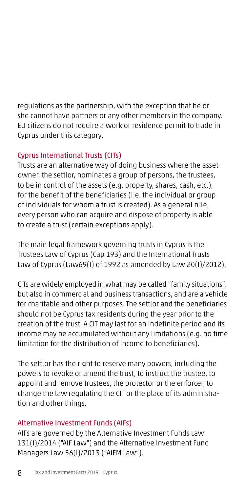regulations as the partnership, with the exception that he or she cannot have partners or any other members in the company. EU citizens do not require a work or residence permit to trade in Cyprus under this category.

## Cyprus International Trusts (CITs)

Trusts are an alternative way of doing business where the asset owner, the settlor, nominates a group of persons, the trustees, to be in control of the assets (e.g. property, shares, cash, etc.), for the benefit of the beneficiaries (i.e. the individual or group of individuals for whom a trust is created). As a general rule, every person who can acquire and dispose of property is able to create a trust (certain exceptions apply).

The main legal framework governing trusts in Cyprus is the Trustees Law of Cyprus (Cap 193) and the International Trusts Law of Cyprus (Law69(I) of 1992 as amended by Law 20(I)/2012).

CITs are widely employed in what may be called "family situations", but also in commercial and business transactions, and are a vehicle for charitable and other purposes. The settlor and the beneficiaries should not be Cyprus tax residents during the year prior to the creation of the trust. A CIT may last for an indefinite period and its income may be accumulated without any limitations (e.g. no time limitation for the distribution of income to beneficiaries).

The settlor has the right to reserve many powers, including the powers to revoke or amend the trust, to instruct the trustee, to appoint and remove trustees, the protector or the enforcer, to change the law regulating the CIT or the place of its administration and other things.

## Alternative Investment Funds (AIFs)

AIFs are governed by the Alternative Investment Funds Law 131(I)/2014 ("AIF Law") and the Alternative Investment Fund Managers Law 56(I)/2013 ("AIFM Law").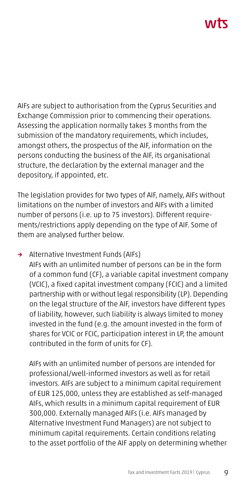# ハハト

AIFs are subject to authorisation from the Cyprus Securities and Exchange Commission prior to commencing their operations. Assessing the application normally takes 3 months from the submission of the mandatory requirements, which includes, amongst others, the prospectus of the AIF, information on the persons conducting the business of the AIF, its organisational structure, the declaration by the external manager and the depository, if appointed, etc.

The legislation provides for two types of AIF, namely, AIFs without limitations on the number of investors and AIFs with a limited number of persons (i.e. up to 75 investors). Different requirements/restrictions apply depending on the type of AIF. Some of them are analysed further below.

#### → Alternative Investment Funds (AIFs)

AIFs with an unlimited number of persons can be in the form of a common fund (CF), a variable capital investment company (VCIC), a fixed capital investment company (FCIC) and a limited partnership with or without legal responsibility (LP). Depending on the legal structure of the AIF, investors have different types of liability, however, such liability is always limited to money invested in the fund (e.g. the amount invested in the form of shares for VCIC or FCIC, participation interest in LP, the amount contributed in the form of units for CF).

AIFs with an unlimited number of persons are intended for professional/well-informed investors as well as for retail investors. AIFs are subject to a minimum capital requirement of EUR 125,000, unless they are established as self-managed AIFs, which results in a minimum capital requirement of EUR 300,000. Externally managed AIFs (i.e. AIFs managed by Alternative Investment Fund Managers) are not subject to minimum capital requirements. Certain conditions relating to the asset portfolio of the AIF apply on determining whether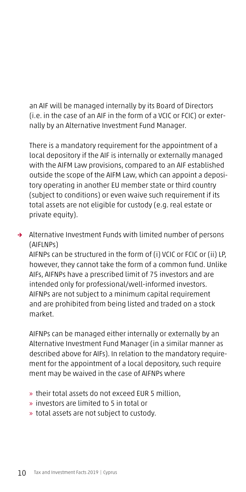an AIF will be managed internally by its Board of Directors (i.e. in the case of an AIF in the form of a VCIC or FCIC) or externally by an Alternative Investment Fund Manager.

There is a mandatory requirement for the appointment of a local depository if the AIF is internally or externally managed with the AIFM Law provisions, compared to an AIF established outside the scope of the AIFM Law, which can appoint a depository operating in another EU member state or third country (subject to conditions) or even waive such requirement if its total assets are not eligible for custody (e.g. real estate or private equity).

→ Alternative Investment Funds with limited number of persons (AIFLNPs)

AIFNPs can be structured in the form of (i) VCIC or FCIC or (ii) LP, however, they cannot take the form of a common fund. Unlike AIFs, AIFNPs have a prescribed limit of 75 investors and are intended only for professional/well-informed investors. AIFNPs are not subject to a minimum capital requirement and are prohibited from being listed and traded on a stock market.

AIFNPs can be managed either internally or externally by an Alternative Investment Fund Manager (in a similar manner as described above for AIFs). In relation to the mandatory requirement for the appointment of a local depository, such require ment may be waived in the case of AIFNPs where

- » their total assets do not exceed EUR 5 million,
- » investors are limited to 5 in total or
- » total assets are not subject to custody.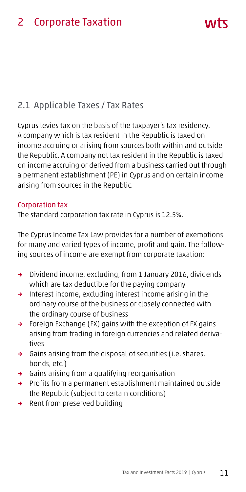## 2.1 Applicable Taxes / Tax Rates

Cyprus levies tax on the basis of the taxpayer's tax residency. A company which is tax resident in the Republic is taxed on income accruing or arising from sources both within and outside the Republic. A company not tax resident in the Republic is taxed on income accruing or derived from a business carried out through a permanent establishment (PE) in Cyprus and on certain income arising from sources in the Republic.

#### Corporation tax

The standard corporation tax rate in Cyprus is 12.5%.

The Cyprus Income Tax Law provides for a number of exemptions for many and varied types of income, profit and gain. The following sources of income are exempt from corporate taxation:

- → Dividend income, excluding, from 1 January 2016, dividends which are tax deductible for the paying company
- → Interest income, excluding interest income arising in the ordinary course of the business or closely connected with the ordinary course of business
- → Foreign Exchange (FX) gains with the exception of FX gains arising from trading in foreign currencies and related derivatives
- → Gains arising from the disposal of securities (i.e. shares, bonds, etc.)
- → Gains arising from a qualifying reorganisation
- → Profits from a permanent establishment maintained outside the Republic (subject to certain conditions)
- → Rent from preserved building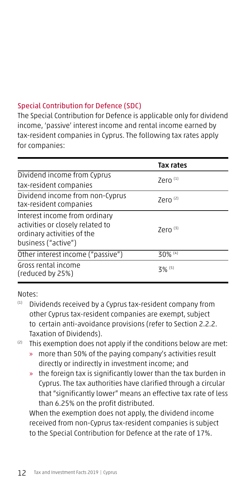## Special Contribution for Defence (SDC)

The Special Contribution for Defence is applicable only for dividend income, 'passive' interest income and rental income earned by tax-resident companies in Cyprus. The following tax rates apply for companies:

|                                                                                                                        | Tax rates             |
|------------------------------------------------------------------------------------------------------------------------|-----------------------|
| Dividend income from Cyprus                                                                                            | Zero $(1)$            |
| tax-resident companies                                                                                                 |                       |
| Dividend income from non-Cyprus<br>tax-resident companies                                                              | Zero $(2)$            |
| Interest income from ordinary<br>activities or closely related to<br>ordinary activities of the<br>business ("active") | Zero $(3)$            |
| Other interest income ("passive")                                                                                      | $30\%$ <sup>(4)</sup> |
| Gross rental income<br>(reduced by 25%)                                                                                | $3\%$ <sup>(5)</sup>  |

Notes:

- (1) Dividends received by a Cyprus tax-resident company from other Cyprus tax-resident companies are exempt, subject to certain anti-avoidance provisions (refer to Section 2.2.2. Taxation of Dividends).
- $(2)$  This exemption does not apply if the conditions below are met:
	- » more than 50% of the paying company's activities result directly or indirectly in investment income; and
	- » the foreign tax is significantly lower than the tax burden in Cyprus. The tax authorities have clarified through a circular that "significantly lower" means an effective tax rate of less than 6.25% on the profit distributed.

When the exemption does not apply, the dividend income received from non-Cyprus tax-resident companies is subject to the Special Contribution for Defence at the rate of 17%.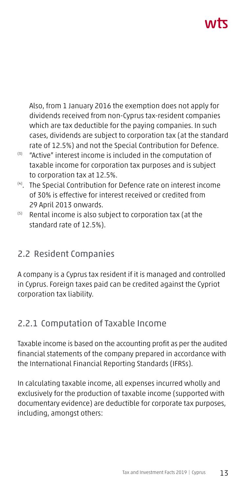# ハバて

Also, from 1 January 2016 the exemption does not apply for dividends received from non-Cyprus tax-resident companies which are tax deductible for the paying companies. In such cases, dividends are subject to corporation tax (at the standard rate of 12.5%) and not the Special Contribution for Defence.

- $(3)$  "Active" interest income is included in the computation of taxable income for corporation tax purposes and is subject to corporation tax at 12.5%.
- (4). The Special Contribution for Defence rate on interest income of 30% is effective for interest received or credited from 29 April 2013 onwards.
- (5) Rental income is also subject to corporation tax (at the standard rate of 12.5%).

## 2.2 Resident Companies

A company is a Cyprus tax resident if it is managed and controlled in Cyprus. Foreign taxes paid can be credited against the Cypriot corporation tax liability.

## 2.2.1 Computation of Taxable Income

Taxable income is based on the accounting profit as per the audited financial statements of the company prepared in accordance with the International Financial Reporting Standards (IFRSs).

In calculating taxable income, all expenses incurred wholly and exclusively for the production of taxable income (supported with documentary evidence) are deductible for corporate tax purposes, including, amongst others: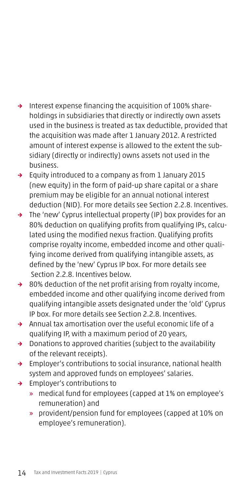- → Interest expense financing the acquisition of 100% shareholdings in subsidiaries that directly or indirectly own assets used in the business is treated as tax deductible, provided that the acquisition was made after 1 January 2012. A restricted amount of interest expense is allowed to the extent the subsidiary (directly or indirectly) owns assets not used in the business.
- → Equity introduced to a company as from 1 January 2015 (new equity) in the form of paid-up share capital or a share premium may be eligible for an annual notional interest deduction (NID). For more details see Section 2.2.8. Incentives.
- → The 'new' Cyprus intellectual property (IP) box provides for an 80% deduction on qualifying profits from qualifying IPs, calculated using the modified nexus fraction. Qualifying profits comprise royalty income, embedded income and other qualifying income derived from qualifying intangible assets, as defined by the 'new' Cyprus IP box. For more details see Section 2.2.8. Incentives below.
- → 80% deduction of the net profit arising from royalty income, embedded income and other qualifying income derived from qualifying intangible assets designated under the 'old' Cyprus IP box. For more details see Section 2.2.8. Incentives.
- → Annual tax amortisation over the useful economic life of a qualifying IP, with a maximum period of 20 years,
- → Donations to approved charities (subject to the availability of the relevant receipts).
- → Employer's contributions to social insurance, national health system and approved funds on employees' salaries.
- → Employer's contributions to
	- » medical fund for employees (capped at 1% on employee's remuneration) and
	- » provident/pension fund for employees (capped at 10% on employee's remuneration).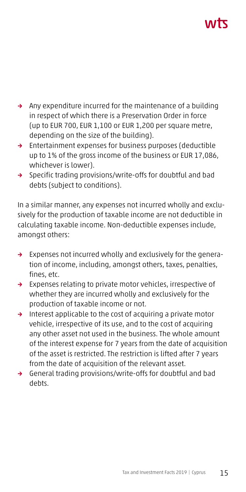# ハバて

- → Any expenditure incurred for the maintenance of a building in respect of which there is a Preservation Order in force (up to EUR 700, EUR 1,100 or EUR 1,200 per square metre, depending on the size of the building).
- → Entertainment expenses for business purposes (deductible up to 1% of the gross income of the business or EUR 17,086, whichever is lower).
- → Specific trading provisions/write-offs for doubtful and bad debts (subject to conditions).

In a similar manner, any expenses not incurred wholly and exclusively for the production of taxable income are not deductible in calculating taxable income. Non-deductible expenses include, amongst others:

- → Expenses not incurred wholly and exclusively for the generation of income, including, amongst others, taxes, penalties, fines, etc.
- → Expenses relating to private motor vehicles, irrespective of whether they are incurred wholly and exclusively for the production of taxable income or not.
- → Interest applicable to the cost of acquiring a private motor vehicle, irrespective of its use, and to the cost of acquiring any other asset not used in the business. The whole amount of the interest expense for 7 years from the date of acquisition of the asset is restricted. The restriction is lifted after 7 years from the date of acquisition of the relevant asset.
- → General trading provisions/write-offs for doubtful and bad debts.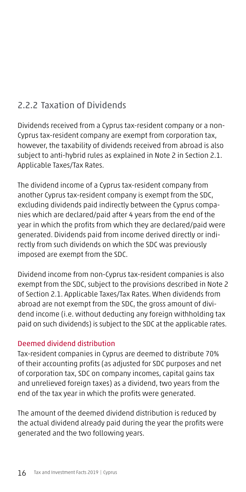## 2.2.2 Taxation of Dividends

Dividends received from a Cyprus tax-resident company or a non-Cyprus tax-resident company are exempt from corporation tax, however, the taxability of dividends received from abroad is also subject to anti-hybrid rules as explained in Note 2 in Section 2.1. Applicable Taxes/Tax Rates.

The dividend income of a Cyprus tax-resident company from another Cyprus tax-resident company is exempt from the SDC, excluding dividends paid indirectly between the Cyprus companies which are declared/paid after 4 years from the end of the year in which the profits from which they are declared/paid were generated. Dividends paid from income derived directly or indirectly from such dividends on which the SDC was previously imposed are exempt from the SDC.

Dividend income from non-Cyprus tax-resident companies is also exempt from the SDC, subject to the provisions described in Note 2 of Section 2.1. Applicable Taxes/Tax Rates. When dividends from abroad are not exempt from the SDC, the gross amount of dividend income (i.e. without deducting any foreign withholding tax paid on such dividends) is subject to the SDC at the applicable rates.

## Deemed dividend distribution

Tax-resident companies in Cyprus are deemed to distribute 70% of their accounting profits (as adjusted for SDC purposes and net of corporation tax, SDC on company incomes, capital gains tax and unrelieved foreign taxes) as a dividend, two years from the end of the tax year in which the profits were generated.

The amount of the deemed dividend distribution is reduced by the actual dividend already paid during the year the profits were generated and the two following years.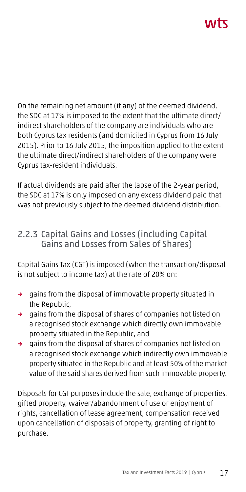# **AITT**

On the remaining net amount (if any) of the deemed dividend, the SDC at 17% is imposed to the extent that the ultimate direct/ indirect shareholders of the company are individuals who are both Cyprus tax residents (and domiciled in Cyprus from 16 July 2015). Prior to 16 July 2015, the imposition applied to the extent the ultimate direct/indirect shareholders of the company were Cyprus tax-resident individuals.

If actual dividends are paid after the lapse of the 2-year period, the SDC at 17% is only imposed on any excess dividend paid that was not previously subject to the deemed dividend distribution.

## 2.2.3 Capital Gains and Losses (including Capital Gains and Losses from Sales of Shares)

Capital Gains Tax (CGT) is imposed (when the transaction/disposal is not subject to income tax) at the rate of 20% on:

- → gains from the disposal of immovable property situated in the Republic,
- → gains from the disposal of shares of companies not listed on a recognised stock exchange which directly own immovable property situated in the Republic, and
- → gains from the disposal of shares of companies not listed on a recognised stock exchange which indirectly own immovable property situated in the Republic and at least 50% of the market value of the said shares derived from such immovable property.

Disposals for CGT purposes include the sale, exchange of properties, gifted property, waiver/abandonment of use or enjoyment of rights, cancellation of lease agreement, compensation received upon cancellation of disposals of property, granting of right to purchase.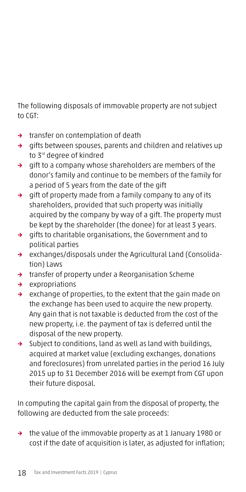The following disposals of immovable property are not subject to CGT:

- → transfer on contemplation of death
- → gifts between spouses, parents and children and relatives up to 3rd degree of kindred
- → gift to a company whose shareholders are members of the donor's family and continue to be members of the family for a period of 5 years from the date of the gift
- → gift of property made from a family company to any of its shareholders, provided that such property was initially acquired by the company by way of a gift. The property must be kept by the shareholder (the donee) for at least 3 years.
- → gifts to charitable organisations, the Government and to political parties
- → exchanges/disposals under the Agricultural Land (Consolidation) Laws
- → transfer of property under a Reorganisation Scheme
- → expropriations
- → exchange of properties, to the extent that the gain made on the exchange has been used to acquire the new property. Any gain that is not taxable is deducted from the cost of the new property, i.e. the payment of tax is deferred until the disposal of the new property.
- → Subject to conditions, land as well as land with buildings, acquired at market value (excluding exchanges, donations and foreclosures) from unrelated parties in the period 16 July 2015 up to 31 December 2016 will be exempt from CGT upon their future disposal.

In computing the capital gain from the disposal of property, the following are deducted from the sale proceeds:

→ the value of the immovable property as at 1 January 1980 or cost if the date of acquisition is later, as adjusted for inflation;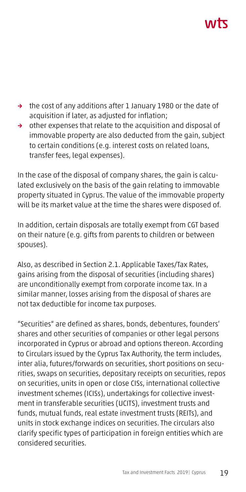# ハハト

- → the cost of any additions after 1 January 1980 or the date of acquisition if later, as adjusted for inflation;
- → other expenses that relate to the acquisition and disposal of immovable property are also deducted from the gain, subject to certain conditions (e.g. interest costs on related loans, transfer fees, legal expenses).

In the case of the disposal of company shares, the gain is calculated exclusively on the basis of the gain relating to immovable property situated in Cyprus. The value of the immovable property will be its market value at the time the shares were disposed of.

In addition, certain disposals are totally exempt from CGT based on their nature (e.g. gifts from parents to children or between spouses).

Also, as described in Section 2.1. Applicable Taxes/Tax Rates, gains arising from the disposal of securities (including shares) are unconditionally exempt from corporate income tax. In a similar manner, losses arising from the disposal of shares are not tax deductible for income tax purposes.

"Securities" are defined as shares, bonds, debentures, founders' shares and other securities of companies or other legal persons incorporated in Cyprus or abroad and options thereon. According to Circulars issued by the Cyprus Tax Authority, the term includes, inter alia, futures/forwards on securities, short positions on securities, swaps on securities, depositary receipts on securities, repos on securities, units in open or close CISs, international collective investment schemes (ICISs), undertakings for collective investment in transferable securities (UCITS), investment trusts and funds, mutual funds, real estate investment trusts (REITs), and units in stock exchange indices on securities. The circulars also clarify specific types of participation in foreign entities which are considered securities.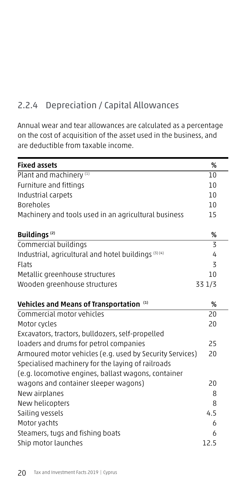## 2.2.4 Depreciation / Capital Allowances

Annual wear and tear allowances are calculated as a percentage on the cost of acquisition of the asset used in the business, and are deductible from taxable income.

| <b>Fixed assets</b>                                      | %              |
|----------------------------------------------------------|----------------|
| Plant and machinery <sup>(1)</sup>                       | 10             |
| Furniture and fittings                                   | 10             |
| Industrial carpets                                       | 10             |
| <b>Boreholes</b>                                         | 10             |
| Machinery and tools used in an agricultural business     | 15             |
| <b>Buildings</b> <sup>(2)</sup>                          | %              |
| Commercial buildings                                     | 3              |
| Industrial, agricultural and hotel buildings (3) (4)     | 4              |
| Flats                                                    | $\overline{5}$ |
| Metallic greenhouse structures                           | 10             |
| Wooden greenhouse structures                             | 33 1/3         |
| Vehicles and Means of Transportation (1)                 | %              |
| Commercial motor vehicles                                | 20             |
| Motor cycles                                             | 20             |
| Excavators, tractors, bulldozers, self-propelled         |                |
| loaders and drums for petrol companies                   | 25             |
| Armoured motor vehicles (e.g. used by Security Services) | 20             |
| Specialised machinery for the laying of railroads        |                |
| (e.g. locomotive engines, ballast wagons, container      |                |
| wagons and container sleeper wagons)                     | 20             |
| New airplanes                                            | 8              |
| New helicopters                                          | 8              |
| Sailing vessels                                          | 4.5            |
| Motor yachts                                             | 6              |
| Steamers, tugs and fishing boats                         | 6              |
| Ship motor launches                                      | 12.5           |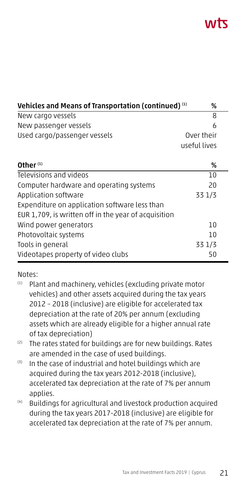| Vehicles and Means of Transportation (continued) (1)<br>% |              |  |
|-----------------------------------------------------------|--------------|--|
| New cargo vessels                                         | 8            |  |
| New passenger vessels                                     | 6            |  |
| Used cargo/passenger vessels                              | Over their   |  |
|                                                           | useful lives |  |
| Other $(1)$                                               | %            |  |
| Televisions and videos                                    | 10           |  |
| Computer hardware and operating systems                   | 20           |  |
| Application software                                      | 33 1/3       |  |
| Expenditure on application software less than             |              |  |
| EUR 1,709, is written off in the year of acquisition      |              |  |
| Wind power generators                                     | 10           |  |
| Photovoltaic systems                                      | 10           |  |
| Tools in general                                          | 33 1/3       |  |
| Videotapes property of video clubs                        | 50           |  |

Notes:

- (1) Plant and machinery, vehicles (excluding private motor vehicles) and other assets acquired during the tax years 2012 – 2018 (inclusive) are eligible for accelerated tax depreciation at the rate of 20% per annum (excluding assets which are already eligible for a higher annual rate of tax depreciation)
- (2) The rates stated for buildings are for new buildings. Rates are amended in the case of used buildings.
- $<sup>(3)</sup>$  In the case of industrial and hotel buildings which are</sup> acquired during the tax years 2012-2018 (inclusive), accelerated tax depreciation at the rate of 7% per annum applies.
- (4) Buildings for agricultural and livestock production acquired during the tax years 2017-2018 (inclusive) are eligible for accelerated tax depreciation at the rate of 7% per annum.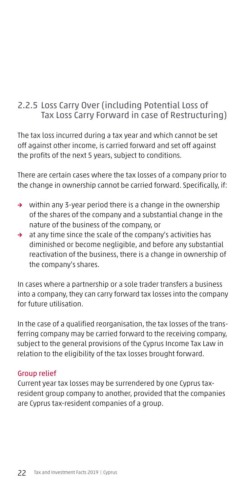## 2.2.5 Loss Carry Over (including Potential Loss of Tax Loss Carry Forward in case of Restructuring)

The tax loss incurred during a tax year and which cannot be set off against other income, is carried forward and set off against the profits of the next 5 years, subject to conditions.

There are certain cases where the tax losses of a company prior to the change in ownership cannot be carried forward. Specifically, if:

- → within any 3-year period there is a change in the ownership of the shares of the company and a substantial change in the nature of the business of the company, or
- → at any time since the scale of the company's activities has diminished or become negligible, and before any substantial reactivation of the business, there is a change in ownership of the company's shares.

In cases where a partnership or a sole trader transfers a business into a company, they can carry forward tax losses into the company for future utilisation.

In the case of a qualified reorganisation, the tax losses of the transferring company may be carried forward to the receiving company, subject to the general provisions of the Cyprus Income Tax Law in relation to the eligibility of the tax losses brought forward.

## Group relief

Current year tax losses may be surrendered by one Cyprus taxresident group company to another, provided that the companies are Cyprus tax-resident companies of a group.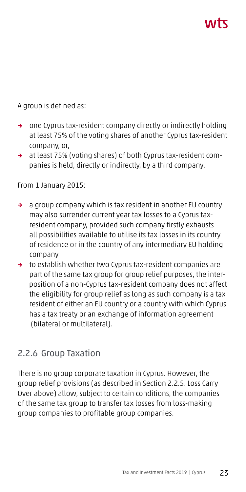A group is defined as:

- → one Cyprus tax-resident company directly or indirectly holding at least 75% of the voting shares of another Cyprus tax-resident company, or,
- → at least 75% (voting shares) of both Cyprus tax-resident companies is held, directly or indirectly, by a third company.

From 1 January 2015:

- → a group company which is tax resident in another EU country may also surrender current year tax losses to a Cyprus taxresident company, provided such company firstly exhausts all possibilities available to utilise its tax losses in its country of residence or in the country of any intermediary EU holding company
- → to establish whether two Cyprus tax-resident companies are part of the same tax group for group relief purposes, the interposition of a non-Cyprus tax-resident company does not affect the eligibility for group relief as long as such company is a tax resident of either an EU country or a country with which Cyprus has a tax treaty or an exchange of information agreement (bilateral or multilateral).

## 2.2.6 Group Taxation

There is no group corporate taxation in Cyprus. However, the group relief provisions (as described in Section 2.2.5. Loss Carry Over above) allow, subject to certain conditions, the companies of the same tax group to transfer tax losses from loss-making group companies to profitable group companies.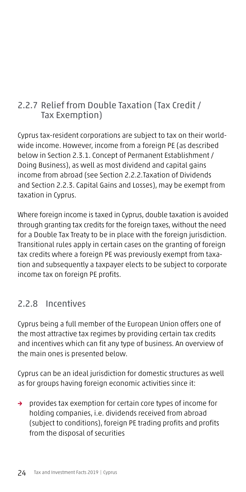## 2.2.7 Relief from Double Taxation (Tax Credit / Tax Exemption)

Cyprus tax-resident corporations are subject to tax on their worldwide income. However, income from a foreign PE (as described below in Section 2.3.1. Concept of Permanent Establishment / Doing Business), as well as most dividend and capital gains income from abroad (see Section 2.2.2.Taxation of Dividends and Section 2.2.3. Capital Gains and Losses), may be exempt from taxation in Cyprus.

Where foreign income is taxed in Cyprus, double taxation is avoided through granting tax credits for the foreign taxes, without the need for a Double Tax Treaty to be in place with the foreign jurisdiction. Transitional rules apply in certain cases on the granting of foreign tax credits where a foreign PE was previously exempt from taxation and subsequently a taxpayer elects to be subject to corporate income tax on foreign PE profits.

## 2.2.8 Incentives

Cyprus being a full member of the European Union offers one of the most attractive tax regimes by providing certain tax credits and incentives which can fit any type of business. An overview of the main ones is presented below.

Cyprus can be an ideal jurisdiction for domestic structures as well as for groups having foreign economic activities since it:

→ provides tax exemption for certain core types of income for holding companies, i.e. dividends received from abroad (subject to conditions), foreign PE trading profits and profits from the disposal of securities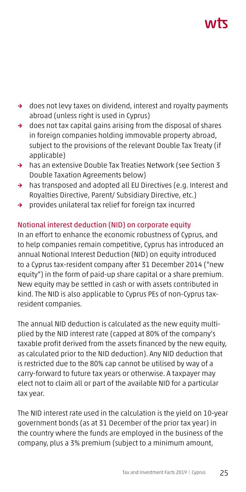# ハハマ

- → does not levy taxes on dividend, interest and royalty payments abroad (unless right is used in Cyprus)
- → does not tax capital gains arising from the disposal of shares in foreign companies holding immovable property abroad, subject to the provisions of the relevant Double Tax Treaty (if applicable)
- → has an extensive Double Tax Treaties Network (see Section 3 Double Taxation Agreements below)
- → has transposed and adopted all EU Directives (e.g. Interest and Royalties Directive, Parent/ Subsidiary Directive, etc.)
- → provides unilateral tax relief for foreign tax incurred

## Notional interest deduction (NID) on corporate equity

In an effort to enhance the economic robustness of Cyprus, and to help companies remain competitive, Cyprus has introduced an annual Notional Interest Deduction (NID) on equity introduced to a Cyprus tax-resident company after 31 December 2014 ("new equity") in the form of paid-up share capital or a share premium. New equity may be settled in cash or with assets contributed in kind. The NID is also applicable to Cyprus PEs of non-Cyprus taxresident companies.

The annual NID deduction is calculated as the new equity multiplied by the NID interest rate (capped at 80% of the company's taxable profit derived from the assets financed by the new equity, as calculated prior to the NID deduction). Any NID deduction that is restricted due to the 80% cap cannot be utilised by way of a carry-forward to future tax years or otherwise. A taxpayer may elect not to claim all or part of the available NID for a particular tax year.

The NID interest rate used in the calculation is the yield on 10-year government bonds (as at 31 December of the prior tax year) in the country where the funds are employed in the business of the company, plus a 3% premium (subject to a minimum amount,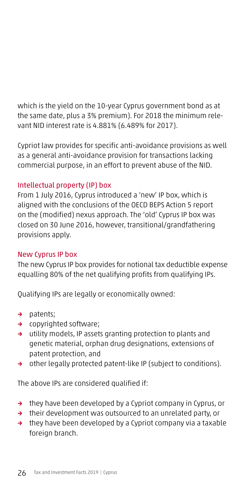which is the yield on the 10-year Cyprus government bond as at the same date, plus a 3% premium). For 2018 the minimum relevant NID interest rate is 4.881% (6.489% for 2017).

Cypriot law provides for specific anti-avoidance provisions as well as a general anti-avoidance provision for transactions lacking commercial purpose, in an effort to prevent abuse of the NID.

## Intellectual property (IP) box

From 1 July 2016, Cyprus introduced a 'new' IP box, which is aligned with the conclusions of the OECD BEPS Action 5 report on the (modified) nexus approach. The 'old' Cyprus IP box was closed on 30 June 2016, however, transitional/grandfathering provisions apply.

## New Cyprus IP box

The new Cyprus IP box provides for notional tax deductible expense equalling 80% of the net qualifying profits from qualifying IPs.

Qualifying IPs are legally or economically owned:

- → patents;
- → copyrighted software;
- → utility models, IP assets granting protection to plants and genetic material, orphan drug designations, extensions of patent protection, and
- → other legally protected patent-like IP (subject to conditions).

The above IPs are considered qualified if:

- → they have been developed by a Cypriot company in Cyprus, or
- → their development was outsourced to an unrelated party, or
- → they have been developed by a Cypriot company via a taxable foreign branch.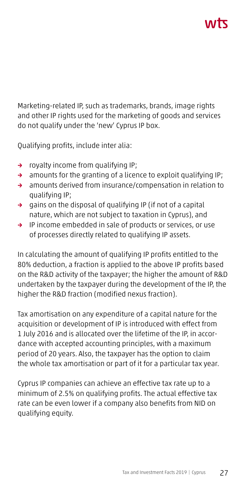# ハバて

Marketing-related IP, such as trademarks, brands, image rights and other IP rights used for the marketing of goods and services do not qualify under the 'new' Cyprus IP box.

Qualifying profits, include inter alia:

- → royalty income from qualifying IP;
- → amounts for the granting of a licence to exploit qualifying IP;
- → amounts derived from insurance/compensation in relation to qualifying IP;
- → gains on the disposal of qualifying IP (if not of a capital nature, which are not subject to taxation in Cyprus), and
- → IP income embedded in sale of products or services, or use of processes directly related to qualifying IP assets.

In calculating the amount of qualifying IP profits entitled to the 80% deduction, a fraction is applied to the above IP profits based on the R&D activity of the taxpayer; the higher the amount of R&D undertaken by the taxpayer during the development of the IP, the higher the R&D fraction (modified nexus fraction).

Tax amortisation on any expenditure of a capital nature for the acquisition or development of IP is introduced with effect from 1 July 2016 and is allocated over the lifetime of the IP, in accordance with accepted accounting principles, with a maximum period of 20 years. Also, the taxpayer has the option to claim the whole tax amortisation or part of it for a particular tax year.

Cyprus IP companies can achieve an effective tax rate up to a minimum of 2.5% on qualifying profits. The actual effective tax rate can be even lower if a company also benefits from NID on qualifying equity.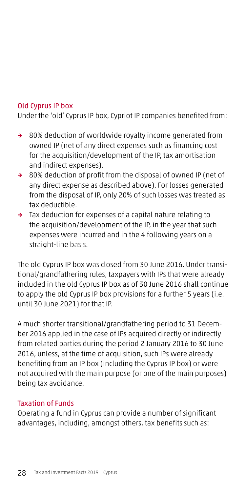#### Old Cyprus IP box

Under the 'old' Cyprus IP box, Cypriot IP companies benefited from:

- → 80% deduction of worldwide royalty income generated from owned IP (net of any direct expenses such as financing cost for the acquisition/development of the IP, tax amortisation and indirect expenses).
- → 80% deduction of profit from the disposal of owned IP (net of any direct expense as described above). For losses generated from the disposal of IP, only 20% of such losses was treated as tax deductible.
- → Tax deduction for expenses of a capital nature relating to the acquisition/development of the IP, in the year that such expenses were incurred and in the 4 following years on a straight-line basis.

The old Cyprus IP box was closed from 30 June 2016. Under transitional/grandfathering rules, taxpayers with IPs that were already included in the old Cyprus IP box as of 30 June 2016 shall continue to apply the old Cyprus IP box provisions for a further 5 years (i.e. until 30 June 2021) for that IP.

A much shorter transitional/grandfathering period to 31 December 2016 applied in the case of IPs acquired directly or indirectly from related parties during the period 2 January 2016 to 30 June 2016, unless, at the time of acquisition, such IPs were already benefiting from an IP box (including the Cyprus IP box) or were not acquired with the main purpose (or one of the main purposes) being tax avoidance.

#### Taxation of Funds

Operating a fund in Cyprus can provide a number of significant advantages, including, amongst others, tax benefits such as: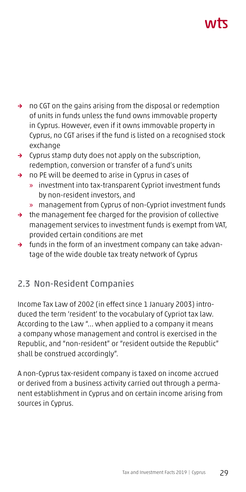# ハバて

- → no CGT on the gains arising from the disposal or redemption of units in funds unless the fund owns immovable property in Cyprus. However, even if it owns immovable property in Cyprus, no CGT arises if the fund is listed on a recognised stock exchange
- → Cyprus stamp duty does not apply on the subscription, redemption, conversion or transfer of a fund's units
- → no PE will be deemed to arise in Cyprus in cases of
	- » investment into tax-transparent Cypriot investment funds by non-resident investors, and
	- » management from Cyprus of non-Cypriot investment funds
- → the management fee charged for the provision of collective management services to investment funds is exempt from VAT, provided certain conditions are met
- → funds in the form of an investment company can take advantage of the wide double tax treaty network of Cyprus

## 2.3 Non-Resident Companies

Income Tax Law of 2002 (in effect since 1 January 2003) introduced the term 'resident' to the vocabulary of Cypriot tax law. According to the Law "... when applied to a company it means a company whose management and control is exercised in the Republic, and "non-resident" or "resident outside the Republic" shall be construed accordingly".

A non-Cyprus tax-resident company is taxed on income accrued or derived from a business activity carried out through a permanent establishment in Cyprus and on certain income arising from sources in Cyprus.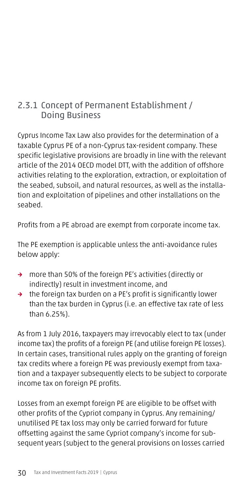## 2.3.1 Concept of Permanent Establishment / Doing Business

Cyprus Income Tax Law also provides for the determination of a taxable Cyprus PE of a non-Cyprus tax-resident company. These specific legislative provisions are broadly in line with the relevant article of the 2014 OECD model DTT, with the addition of offshore activities relating to the exploration, extraction, or exploitation of the seabed, subsoil, and natural resources, as well as the installation and exploitation of pipelines and other installations on the seabed.

Profits from a PE abroad are exempt from corporate income tax.

The PE exemption is applicable unless the anti-avoidance rules below apply:

- → more than 50% of the foreign PE's activities (directly or indirectly) result in investment income, and
- → the foreign tax burden on a PE's profit is significantly lower than the tax burden in Cyprus (i.e. an effective tax rate of less than 6.25%).

As from 1 July 2016, taxpayers may irrevocably elect to tax (under income tax) the profits of a foreign PE (and utilise foreign PE losses). In certain cases, transitional rules apply on the granting of foreign tax credits where a foreign PE was previously exempt from taxation and a taxpayer subsequently elects to be subject to corporate income tax on foreign PE profits.

Losses from an exempt foreign PE are eligible to be offset with other profits of the Cypriot company in Cyprus. Any remaining/ unutilised PE tax loss may only be carried forward for future offsetting against the same Cypriot company's income for subsequent years (subject to the general provisions on losses carried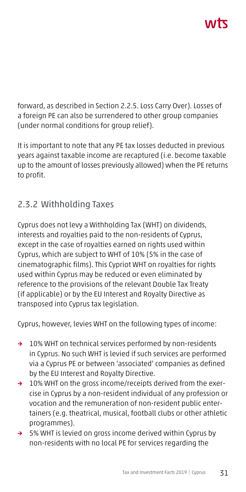forward, as described in Section 2.2.5. Loss Carry Over). Losses of a foreign PE can also be surrendered to other group companies (under normal conditions for group relief).

It is important to note that any PE tax losses deducted in previous years against taxable income are recaptured (i.e. become taxable up to the amount of losses previously allowed) when the PE returns to profit.

## 2.3.2 Withholding Taxes

Cyprus does not levy a Withholding Tax (WHT) on dividends, interests and royalties paid to the non-residents of Cyprus, except in the case of royalties earned on rights used within Cyprus, which are subject to WHT of 10% (5% in the case of cinematographic films). This Cypriot WHT on royalties for rights used within Cyprus may be reduced or even eliminated by reference to the provisions of the relevant Double Tax Treaty (if applicable) or by the EU Interest and Royalty Directive as transposed into Cyprus tax legislation.

Cyprus, however, levies WHT on the following types of income:

- → 10% WHT on technical services performed by non-residents in Cyprus. No such WHT is levied if such services are performed via a Cyprus PE or between 'associated' companies as defined by the EU Interest and Royalty Directive.
- → 10% WHT on the gross income/receipts derived from the exercise in Cyprus by a non-resident individual of any profession or vocation and the remuneration of non-resident public entertainers (e.g. theatrical, musical, football clubs or other athletic programmes).
- → 5% WHT is levied on gross income derived within Cyprus by non-residents with no local PE for services regarding the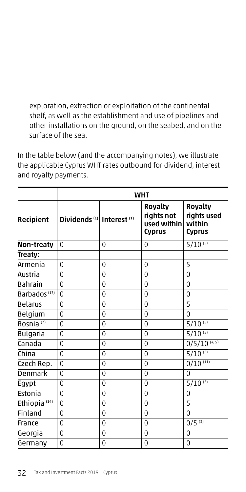exploration, extraction or exploitation of the continental shelf, as well as the establishment and use of pipelines and other installations on the ground, on the seabed, and on the surface of the sea.

In the table below (and the accompanying notes), we illustrate the applicable Cyprus WHT rates outbound for dividend, interest and royalty payments.

|                          | <b>WHT</b>                                       |                |                                                       |                                                          |
|--------------------------|--------------------------------------------------|----------------|-------------------------------------------------------|----------------------------------------------------------|
| Recipient                | Dividends <sup>(1)</sup> Interest <sup>(1)</sup> |                | <b>Royalty</b><br>rights not<br>used within<br>Cyprus | <b>Royalty</b><br>rights used<br>within<br><b>Cyprus</b> |
| Non-treaty               | $\Omega$                                         | 0              | 0                                                     | $5/10^{(2)}$                                             |
| Treaty:                  |                                                  |                |                                                       |                                                          |
| Armenia                  | $\Omega$                                         | $\overline{0}$ | $\Omega$                                              | 5                                                        |
| Austria                  | $\Omega$                                         | $\Omega$       | $\Omega$                                              | $\Omega$                                                 |
| <b>Bahrain</b>           | $\Omega$                                         | $\overline{0}$ | $\overline{0}$                                        | $\overline{0}$                                           |
| Barbados <sup>(13)</sup> | $\Omega$                                         | $\Omega$       | $\Omega$                                              | $\Omega$                                                 |
| <b>Belarus</b>           | $\Omega$                                         | $\overline{0}$ | $\Omega$                                              | 5                                                        |
| <b>Belgium</b>           | $\Omega$                                         | $\overline{0}$ | $\Omega$                                              | $\Omega$                                                 |
| Bosnia <sup>(7)</sup>    | $\Omega$                                         | $\Omega$       | $\Omega$                                              | $5/10^{(5)}$                                             |
| Bulgaria                 | $\Omega$                                         | $\Omega$       | $\Omega$                                              | $5/10^{(5)}$                                             |
| Canada                   | $\Omega$                                         | $\overline{0}$ | $\Omega$                                              | $0/5/10^{(4,5)}$                                         |
| China                    | $\Omega$                                         | $\overline{0}$ | $\Omega$                                              | $5/10^{(5)}$                                             |
| Czech Rep.               | $\Omega$                                         | $\overline{0}$ | $\Omega$                                              | $0/10^{(11)}$                                            |
| Denmark                  | $\Omega$                                         | $\overline{0}$ | $\Omega$                                              | $\Omega$                                                 |
| Egypt                    | $\Omega$                                         | $\Omega$       | $\Omega$                                              | $5/10^{(5)}$                                             |
| Estonia                  | $\Omega$                                         | $\overline{0}$ | $\Omega$                                              | $\Omega$                                                 |
| Ethiopia <sup>(14)</sup> | $\Omega$                                         | $\Omega$       | $\Omega$                                              | 5                                                        |
| Finland                  | $\Omega$                                         | $\overline{0}$ | $\Omega$                                              | $\Omega$                                                 |
| France                   | $\Omega$                                         | $\Omega$       | $\Omega$                                              | $0/5^{(3)}$                                              |
| Georgia                  | $\Omega$                                         | $\overline{0}$ | $\Omega$                                              | $\Omega$                                                 |
| Germany                  | $\overline{0}$                                   | $\overline{0}$ | 0                                                     | $\overline{0}$                                           |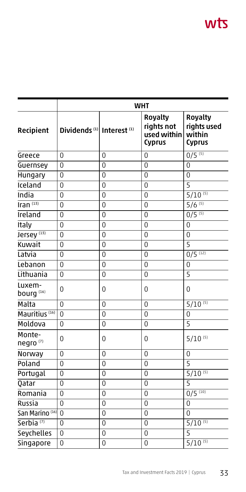# wts

|                                 | <b>WHT</b>                                       |                |                                                       |                                                          |
|---------------------------------|--------------------------------------------------|----------------|-------------------------------------------------------|----------------------------------------------------------|
| Recipient                       | Dividends <sup>(1)</sup> Interest <sup>(1)</sup> |                | <b>Royalty</b><br>rights not<br>used within<br>Cyprus | <b>Royalty</b><br>rights used<br>within<br><b>Cyprus</b> |
| Greece                          | 0                                                | 0              | $\overline{0}$                                        | $0/5$ <sup>(5)</sup>                                     |
| Guernsey                        | $\overline{0}$                                   | $\overline{0}$ | $\Omega$                                              | $\Omega$                                                 |
| <b>Hungary</b>                  | $\Omega$                                         | $\Omega$       | $\Omega$                                              | $\Omega$                                                 |
| Iceland                         | $\Omega$                                         | $\overline{0}$ | $\Omega$                                              | 5                                                        |
| India                           | $\Omega$                                         | $\overline{0}$ | $\Omega$                                              | $5/10^{(5)}$                                             |
| Iran $^{(13)}$                  | $\overline{0}$                                   | $\overline{0}$ | $\Omega$                                              | $5/6^{(5)}$                                              |
| Ireland                         | $\Omega$                                         | $\overline{0}$ | 0                                                     | $0/5$ <sup>(5)</sup>                                     |
| Italy                           | $\overline{0}$                                   | $\overline{0}$ | $\overline{0}$                                        | $\overline{0}$                                           |
| Jersey <sup>(13)</sup>          | $\overline{0}$                                   | $\overline{0}$ | $\overline{0}$                                        | $\overline{0}$                                           |
| Kuwait                          | $\overline{0}$                                   | $\overline{0}$ | $\overline{0}$                                        | $\overline{5}$                                           |
| Latvia                          | $\Omega$                                         | $\Omega$       | $\Omega$                                              | $0/5$ <sup>(12)</sup>                                    |
| Lebanon                         | $\Omega$                                         | $\overline{0}$ | $\Omega$                                              | $\Omega$                                                 |
| Lithuania                       | $\Omega$                                         | $\Omega$       | $\Omega$                                              | $\overline{5}$                                           |
| Luxem-<br>bourg <sup>(16)</sup> | 0                                                | $\overline{0}$ | 0                                                     | $\overline{0}$                                           |
| Malta                           | $\Omega$                                         | $\overline{0}$ | $\overline{0}$                                        | $5/10^{(5)}$                                             |
| Mauritius <sup>(16)</sup>       | 0                                                | $\overline{0}$ | $\overline{0}$                                        | $\Omega$                                                 |
| Moldova                         | $\overline{0}$                                   | $\overline{0}$ | $\overline{0}$                                        | 5                                                        |
| Monte-<br>negro <sup>(7)</sup>  | 0                                                | $\overline{0}$ | 0                                                     | $5/10^{(5)}$                                             |
| Norway                          | $\Omega$                                         | $\Omega$       | $\Omega$                                              | $\Omega$                                                 |
| Poland                          | $\Omega$                                         | $\overline{0}$ | $\Omega$                                              | $\overline{5}$                                           |
| Portugal                        | $\Omega$                                         | $\overline{0}$ | 0                                                     | $5/10^{(5)}$                                             |
| Qatar                           | 0                                                | $\overline{0}$ | $\overline{0}$                                        | $\overline{5}$                                           |
| Romania                         | 0                                                | $\overline{0}$ | $\overline{0}$                                        | $0/5$ <sup>(10)</sup>                                    |
| Russia                          | 0                                                | $\overline{0}$ | $\overline{0}$                                        | $\overline{0}$                                           |
| San Marino <sup>(16)</sup>      | $\Omega$                                         | $\overline{0}$ | $\Omega$                                              | $\Omega$                                                 |
| Serbia <sup>(7)</sup>           | $\Omega$                                         | $\overline{0}$ | $\overline{0}$                                        | $5/10^{(5)}$                                             |
| <b>Seychelles</b>               | $\overline{0}$                                   | $\overline{0}$ | $\overline{0}$                                        | $\overline{5}$                                           |
| Singapore                       | $\overline{0}$                                   | $\overline{0}$ | $\overline{0}$                                        | $5/10^{(5)}$                                             |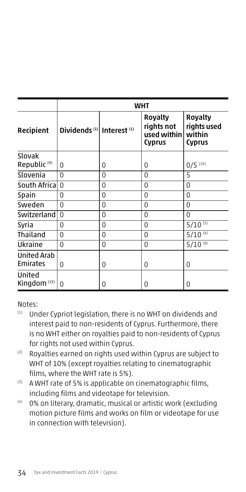|                                   | WHT                                              |          |                                                              |                                                          |
|-----------------------------------|--------------------------------------------------|----------|--------------------------------------------------------------|----------------------------------------------------------|
| Recipient                         | Dividends <sup>(1)</sup> Interest <sup>(1)</sup> |          | <b>Royalty</b><br>rights not<br>used within<br><b>Cyprus</b> | <b>Royalty</b><br>rights used<br>within<br><b>Cyprus</b> |
| Slovak<br>Republic <sup>(9)</sup> | 0                                                | 0        | <sup>0</sup>                                                 | $0/5$ (10)                                               |
| Slovenia                          | $\Omega$                                         | $\Omega$ | 0                                                            | 5                                                        |
| South Africal                     | $\Omega$                                         | 0        | $\Omega$                                                     | $\Omega$                                                 |
| Spain                             | 0                                                | $\Omega$ | $\Omega$                                                     | $\Omega$                                                 |
| Sweden                            | $\Omega$                                         | $\Omega$ | $\Omega$                                                     | $\Omega$                                                 |
| Switzerland                       | $\Omega$                                         | 0        | $\Omega$                                                     | $\Omega$                                                 |
| Syria                             | 0                                                | 0        | $\Omega$                                                     | $5/10^{(5)}$                                             |
| Thailand                          | 0                                                | 0        | $\Omega$                                                     | $5/10^{(6)}$                                             |
| Ukraine                           | 0                                                | 0        | $\Omega$                                                     | $5/10^{(8)}$                                             |
| <b>United Arab</b><br>Emirates    | 0                                                | 0        | 0                                                            | 0                                                        |
| United<br>Kingdom $(15)$          | 0                                                | 0        | 0                                                            | 0                                                        |

Notes:

- (1) Under Cypriot legislation, there is no WHT on dividends and interest paid to non-residents of Cyprus. Furthermore, there is no WHT either on royalties paid to non-residents of Cyprus for rights not used within Cyprus.
- (2) Royalties earned on rights used within Cyprus are subject to WHT of 10% (except royalties relating to cinematographic films, where the WHT rate is 5%).
- $(3)$  A WHT rate of 5% is applicable on cinematographic films, including films and videotape for television.
- (4) 0% on literary, dramatic, musical or artistic work (excluding motion picture films and works on film or videotape for use in connection with television).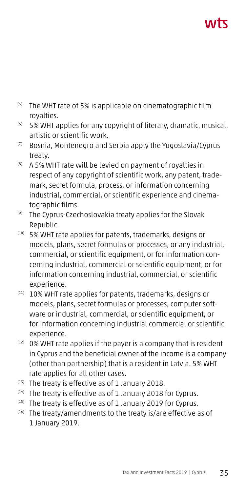- (5) The WHT rate of 5% is applicable on cinematographic film royalties.
- (6) 5% WHT applies for any copyright of literary, dramatic, musical, artistic or scientific work.
- (7) Bosnia, Montenegro and Serbia apply the Yugoslavia/Cyprus treaty.
- (8) A 5% WHT rate will be levied on payment of royalties in respect of any copyright of scientific work, any patent, trademark, secret formula, process, or information concerning industrial, commercial, or scientific experience and cinematographic films.
- (9) The Cyprus-Czechoslovakia treaty applies for the Slovak Republic.
- (10) 5% WHT rate applies for patents, trademarks, designs or models, plans, secret formulas or processes, or any industrial, commercial, or scientific equipment, or for information concerning industrial, commercial or scientific equipment, or for information concerning industrial, commercial, or scientific experience.
- (11) 10% WHT rate applies for patents, trademarks, designs or models, plans, secret formulas or processes, computer software or industrial, commercial, or scientific equipment, or for information concerning industrial commercial or scientific experience.
- (12) 0% WHT rate applies if the payer is a company that is resident in Cyprus and the beneficial owner of the income is a company (other than partnership) that is a resident in Latvia. 5% WHT rate applies for all other cases.
- (13) The treaty is effective as of 1 January 2018.
- (14) The treaty is effective as of 1 January 2018 for Cyprus.
- (15) The treaty is effective as of 1 January 2019 for Cyprus.
- (16) The treaty/amendments to the treaty is/are effective as of 1 January 2019.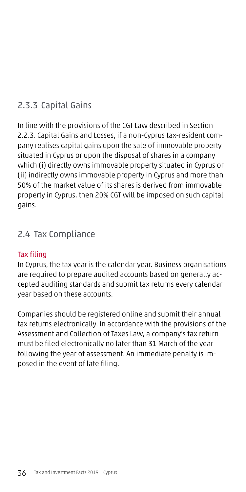## 2.3.3 Capital Gains

In line with the provisions of the CGT Law described in Section 2.2.3. Capital Gains and Losses, if a non-Cyprus tax-resident company realises capital gains upon the sale of immovable property situated in Cyprus or upon the disposal of shares in a company which (i) directly owns immovable property situated in Cyprus or (ii) indirectly owns immovable property in Cyprus and more than 50% of the market value of its shares is derived from immovable property in Cyprus, then 20% CGT will be imposed on such capital gains.

## 2.4 Tax Compliance

## Tax filing

In Cyprus, the tax year is the calendar year. Business organisations are required to prepare audited accounts based on generally accepted auditing standards and submit tax returns every calendar year based on these accounts.

Companies should be registered online and submit their annual tax returns electronically. In accordance with the provisions of the Assessment and Collection of Taxes Law, a company's tax return must be filed electronically no later than 31 March of the year following the year of assessment. An immediate penalty is imposed in the event of late filing.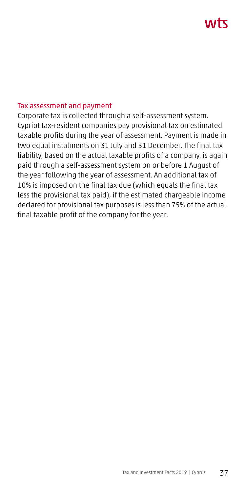# ハバて

#### Tax assessment and payment

Corporate tax is collected through a self-assessment system. Cypriot tax-resident companies pay provisional tax on estimated taxable profits during the year of assessment. Payment is made in two equal instalments on 31 July and 31 December. The final tax liability, based on the actual taxable profits of a company, is again paid through a self-assessment system on or before 1 August of the year following the year of assessment. An additional tax of 10% is imposed on the final tax due (which equals the final tax less the provisional tax paid), if the estimated chargeable income declared for provisional tax purposes is less than 75% of the actual final taxable profit of the company for the year.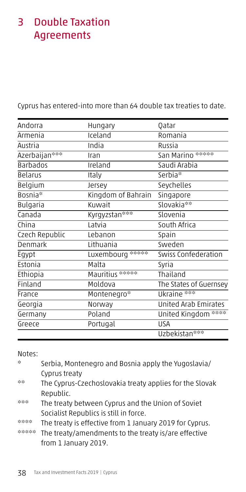## 3 Double Taxation Agreements

Cyprus has entered-into more than 64 double tax treaties to date.

| Andorra        | Hungary            | Qatar                       |
|----------------|--------------------|-----------------------------|
| Armenia        | Iceland            | Romania                     |
| Austria        | India              | Russia                      |
| Azerbaijan***  | Iran               | San Marino ******           |
| Barbados       | Ireland            | Saudi Arabia                |
| Belarus        | Italy              | Serbia*                     |
| Belgium        | Jersey             | Seychelles                  |
| Bosnia*        | Kingdom of Bahrain | Singapore                   |
| Bulgaria       | Kuwait             | Slovakia**                  |
| Canada         | Kyrgyzstan***      | Slovenia                    |
| China          | Latvia             | South Africa                |
| Czech Republic | Lebanon            | Spain                       |
| Denmark        | Lithuania          | Sweden                      |
| Egypt          | Luxembourg *****   | Swiss Confederation         |
| Estonia        | Malta              | Syria                       |
| Ethiopia       | Mauritius ******   | Thailand                    |
| Finland        | Moldova            | The States of Guernsey      |
| France         | Montenegro*        | Ukraine ***                 |
| Georgia        | Norway             | <b>United Arab Emirates</b> |
| Germany        | Poland             | United Kingdom ****         |
| Greece         | Portugal           | <b>USA</b>                  |
|                |                    | Uzbekistan <sup>***</sup>   |

Notes:

\* Serbia, Montenegro and Bosnia apply the Yugoslavia/ Cyprus treaty \*\* The Cyprus-Czechoslovakia treaty applies for the Slovak Republic. \*\*\* The treaty between Cyprus and the Union of Soviet Socialist Republics is still in force.

\*\*\*\* The treaty is effective from 1 January 2019 for Cyprus.

\*\*\*\*\* The treaty/amendments to the treaty is/are effective from 1 January 2019.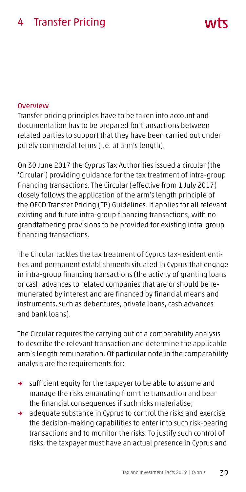## 4 Transfer Pricing

#### **Overview**

Transfer pricing principles have to be taken into account and documentation has to be prepared for transactions between related parties to support that they have been carried out under purely commercial terms (i.e. at arm's length).

ハハト

On 30 June 2017 the Cyprus Tax Authorities issued a circular (the 'Circular') providing guidance for the tax treatment of intra-group financing transactions. The Circular (effective from 1 July 2017) closely follows the application of the arm's length principle of the OECD Transfer Pricing (TP) Guidelines. It applies for all relevant existing and future intra-group financing transactions, with no grandfathering provisions to be provided for existing intra-group financing transactions.

The Circular tackles the tax treatment of Cyprus tax-resident entities and permanent establishments situated in Cyprus that engage in intra-group financing transactions (the activity of granting loans or cash advances to related companies that are or should be remunerated by interest and are financed by financial means and instruments, such as debentures, private loans, cash advances and bank loans).

The Circular requires the carrying out of a comparability analysis to describe the relevant transaction and determine the applicable arm's length remuneration. Of particular note in the comparability analysis are the requirements for:

- → sufficient equity for the taxpayer to be able to assume and manage the risks emanating from the transaction and bear the financial consequences if such risks materialise;
- → adequate substance in Cyprus to control the risks and exercise the decision-making capabilities to enter into such risk-bearing transactions and to monitor the risks. To justify such control of risks, the taxpayer must have an actual presence in Cyprus and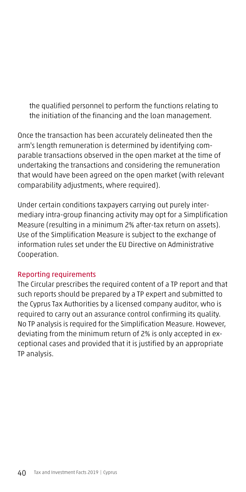the qualified personnel to perform the functions relating to the initiation of the financing and the loan management.

Once the transaction has been accurately delineated then the arm's length remuneration is determined by identifying comparable transactions observed in the open market at the time of undertaking the transactions and considering the remuneration that would have been agreed on the open market (with relevant comparability adjustments, where required).

Under certain conditions taxpayers carrying out purely intermediary intra-group financing activity may opt for a Simplification Measure (resulting in a minimum 2% after-tax return on assets). Use of the Simplification Measure is subject to the exchange of information rules set under the EU Directive on Administrative Cooperation.

## Reporting requirements

The Circular prescribes the required content of a TP report and that such reports should be prepared by a TP expert and submitted to the Cyprus Tax Authorities by a licensed company auditor, who is required to carry out an assurance control confirming its quality. No TP analysis is required for the Simplification Measure. However, deviating from the minimum return of 2% is only accepted in exceptional cases and provided that it is justified by an appropriate TP analysis.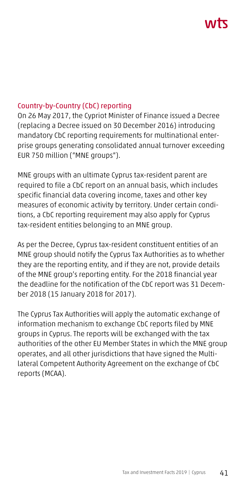# **AITT**

#### Country-by-Country (CbC) reporting

On 26 May 2017, the Cypriot Minister of Finance issued a Decree (replacing a Decree issued on 30 December 2016) introducing mandatory CbC reporting requirements for multinational enterprise groups generating consolidated annual turnover exceeding EUR 750 million ("MNE groups").

MNE groups with an ultimate Cyprus tax-resident parent are required to file a CbC report on an annual basis, which includes specific financial data covering income, taxes and other key measures of economic activity by territory. Under certain conditions, a CbC reporting requirement may also apply for Cyprus tax-resident entities belonging to an MNE group.

As per the Decree, Cyprus tax-resident constituent entities of an MNE group should notify the Cyprus Tax Authorities as to whether they are the reporting entity, and if they are not, provide details of the MNE group's reporting entity. For the 2018 financial year the deadline for the notification of the CbC report was 31 December 2018 (15 January 2018 for 2017).

The Cyprus Tax Authorities will apply the automatic exchange of information mechanism to exchange CbC reports filed by MNE groups in Cyprus. The reports will be exchanged with the tax authorities of the other EU Member States in which the MNE group operates, and all other jurisdictions that have signed the Multilateral Competent Authority Agreement on the exchange of CbC reports (MCAA).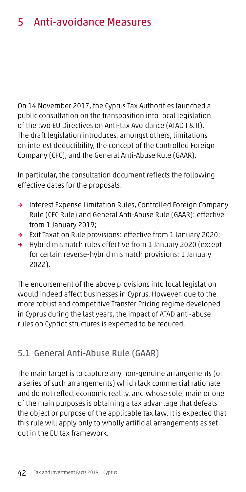## 5 Anti-avoidance Measures

On 14 November 2017, the Cyprus Tax Authorities launched a public consultation on the transposition into local legislation of the two EU Directives on Anti-tax Avoidance (ATAD I & II). The draft legislation introduces, amongst others, limitations on interest deductibility, the concept of the Controlled Foreign Company (CFC), and the General Anti-Abuse Rule (GAAR).

In particular, the consultation document reflects the following effective dates for the proposals:

- → Interest Expense Limitation Rules, Controlled Foreign Company Rule (CFC Rule) and General Anti-Abuse Rule (GAAR): effective from 1 January 2019;
- → Exit Taxation Rule provisions: effective from 1 January 2020;
- → Hybrid mismatch rules effective from 1 January 2020 (except for certain reverse-hybrid mismatch provisions: 1 January 2022).

The endorsement of the above provisions into local legislation would indeed affect businesses in Cyprus. However, due to the more robust and competitive Transfer Pricing regime developed in Cyprus during the last years, the impact of ATAD anti-abuse rules on Cypriot structures is expected to be reduced.

## 5.1 General Anti-Abuse Rule (GAAR)

The main target is to capture any non-genuine arrangements (or a series of such arrangements) which lack commercial rationale and do not reflect economic reality, and whose sole, main or one of the main purposes is obtaining a tax advantage that defeats the object or purpose of the applicable tax law. It is expected that this rule will apply only to wholly artificial arrangements as set out in the EU tax framework.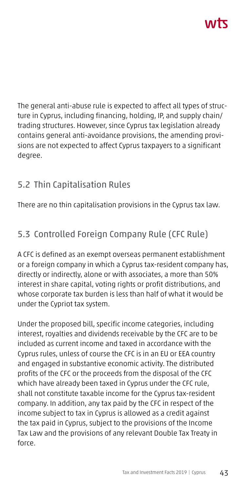The general anti-abuse rule is expected to affect all types of structure in Cyprus, including financing, holding, IP, and supply chain/ trading structures. However, since Cyprus tax legislation already contains general anti-avoidance provisions, the amending provisions are not expected to affect Cyprus taxpayers to a significant degree.

## 5.2 Thin Capitalisation Rules

There are no thin capitalisation provisions in the Cyprus tax law.

## 5.3 Controlled Foreign Company Rule (CFC Rule)

A CFC is defined as an exempt overseas permanent establishment or a foreign company in which a Cyprus tax-resident company has, directly or indirectly, alone or with associates, a more than 50% interest in share capital, voting rights or profit distributions, and whose corporate tax burden is less than half of what it would be under the Cypriot tax system.

Under the proposed bill, specific income categories, including interest, royalties and dividends receivable by the CFC are to be included as current income and taxed in accordance with the Cyprus rules, unless of course the CFC is in an EU or EEA country and engaged in substantive economic activity. The distributed profits of the CFC or the proceeds from the disposal of the CFC which have already been taxed in Cyprus under the CFC rule, shall not constitute taxable income for the Cyprus tax-resident company. In addition, any tax paid by the CFC in respect of the income subject to tax in Cyprus is allowed as a credit against the tax paid in Cyprus, subject to the provisions of the Income Tax Law and the provisions of any relevant Double Tax Treaty in force.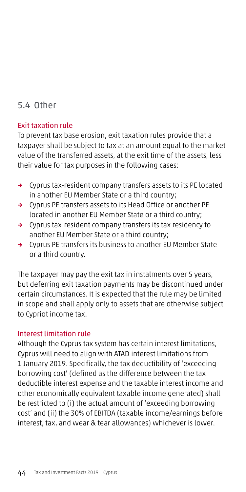## 5.4 Other

#### Exit taxation rule

To prevent tax base erosion, exit taxation rules provide that a taxpayer shall be subject to tax at an amount equal to the market value of the transferred assets, at the exit time of the assets, less their value for tax purposes in the following cases:

- → Cyprus tax-resident company transfers assets to its PE located in another EU Member State or a third country;
- → Cyprus PE transfers assets to its Head Office or another PE located in another EU Member State or a third country;
- → Cyprus tax-resident company transfers its tax residency to another EU Member State or a third country;
- → Cyprus PE transfers its business to another EU Member State or a third country.

The taxpayer may pay the exit tax in instalments over 5 years, but deferring exit taxation payments may be discontinued under certain circumstances. It is expected that the rule may be limited in scope and shall apply only to assets that are otherwise subject to Cypriot income tax.

#### Interest limitation rule

Although the Cyprus tax system has certain interest limitations, Cyprus will need to align with ATAD interest limitations from 1 January 2019. Specifically, the tax deductibility of 'exceeding borrowing cost' (defined as the difference between the tax deductible interest expense and the taxable interest income and other economically equivalent taxable income generated) shall be restricted to (i) the actual amount of 'exceeding borrowing cost' and (ii) the 30% of EBITDA (taxable income/earnings before interest, tax, and wear & tear allowances) whichever is lower.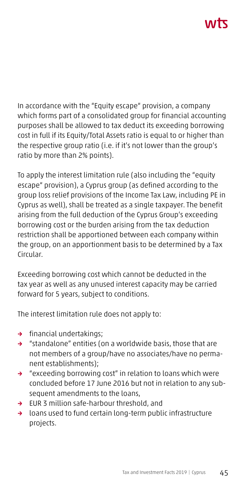In accordance with the "Equity escape" provision, a company which forms part of a consolidated group for financial accounting purposes shall be allowed to tax deduct its exceeding borrowing cost in full if its Equity/Total Assets ratio is equal to or higher than the respective group ratio (i.e. if it's not lower than the group's ratio by more than 2% points).

To apply the interest limitation rule (also including the "equity escape" provision), a Cyprus group (as defined according to the group loss relief provisions of the Income Tax Law, including PE in Cyprus as well), shall be treated as a single taxpayer. The benefit arising from the full deduction of the Cyprus Group's exceeding borrowing cost or the burden arising from the tax deduction restriction shall be apportioned between each company within the group, on an apportionment basis to be determined by a Tax Circular.

Exceeding borrowing cost which cannot be deducted in the tax year as well as any unused interest capacity may be carried forward for 5 years, subject to conditions.

The interest limitation rule does not apply to:

- → financial undertakings;
- → "standalone" entities (on a worldwide basis, those that are not members of a group/have no associates/have no permanent establishments);
- → "exceeding borrowing cost" in relation to loans which were concluded before 17 June 2016 but not in relation to any subsequent amendments to the loans,
- → EUR 3 million safe-harbour threshold, and
- → loans used to fund certain long-term public infrastructure projects.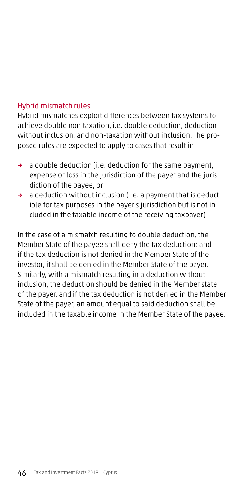#### Hybrid mismatch rules

Hybrid mismatches exploit differences between tax systems to achieve double non taxation, i.e. double deduction, deduction without inclusion, and non-taxation without inclusion. The proposed rules are expected to apply to cases that result in:

- $\rightarrow$  a double deduction (i.e. deduction for the same payment, expense or loss in the jurisdiction of the payer and the jurisdiction of the payee, or
- → a deduction without inclusion (i.e. a payment that is deductible for tax purposes in the payer's jurisdiction but is not included in the taxable income of the receiving taxpayer)

In the case of a mismatch resulting to double deduction, the Member State of the payee shall deny the tax deduction; and if the tax deduction is not denied in the Member State of the investor, it shall be denied in the Member State of the payer. Similarly, with a mismatch resulting in a deduction without inclusion, the deduction should be denied in the Member state of the payer, and if the tax deduction is not denied in the Member State of the payer, an amount equal to said deduction shall be included in the taxable income in the Member State of the payee.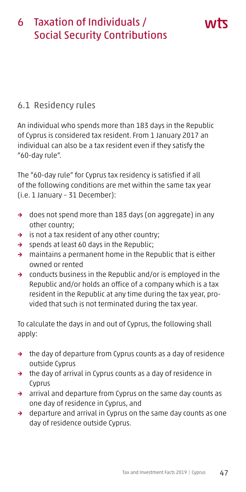## 6 Taxation of Individuals / Social Security Contributions

## 6.1 Residency rules

An individual who spends more than 183 days in the Republic of Cyprus is considered tax resident. From 1 January 2017 an individual can also be a tax resident even if they satisfy the "60-day rule".

The "60-day rule" for Cyprus tax residency is satisfied if all of the following conditions are met within the same tax year (i.e. 1 January – 31 December):

- → does not spend more than 183 days (on aggregate) in any other country;
- → is not a tax resident of any other country;
- → spends at least 60 days in the Republic;
- → maintains a permanent home in the Republic that is either owned or rented
- → conducts business in the Republic and/or is employed in the Republic and/or holds an office of a company which is a tax resident in the Republic at any time during the tax year, provided that such is not terminated during the tax year.

To calculate the days in and out of Cyprus, the following shall apply:

- → the day of departure from Cyprus counts as a day of residence outside Cyprus
- → the day of arrival in Cyprus counts as a day of residence in Cyprus
- → arrival and departure from Cyprus on the same day counts as one day of residence in Cyprus, and
- → departure and arrival in Cyprus on the same day counts as one day of residence outside Cyprus.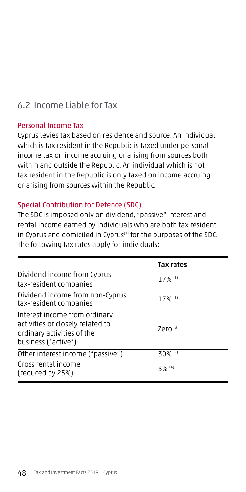## 6.2 Income Liable for Tax

#### Personal Income Tax

Cyprus levies tax based on residence and source. An individual which is tax resident in the Republic is taxed under personal income tax on income accruing or arising from sources both within and outside the Republic. An individual which is not tax resident in the Republic is only taxed on income accruing or arising from sources within the Republic.

#### Special Contribution for Defence (SDC)

The SDC is imposed only on dividend, "passive" interest and rental income earned by individuals who are both tax resident in Cyprus and domiciled in Cyprus $(1)$  for the purposes of the SDC. The following tax rates apply for individuals:

|                                                                                                                        | Tax rates             |
|------------------------------------------------------------------------------------------------------------------------|-----------------------|
| Dividend income from Cyprus                                                                                            | $17%$ <sup>(2)</sup>  |
| tax-resident companies                                                                                                 |                       |
| Dividend income from non-Cyprus<br>tax-resident companies                                                              | $17\%$ <sup>(2)</sup> |
| Interest income from ordinary<br>activities or closely related to<br>ordinary activities of the<br>business ("active") | Zero $(3)$            |
| Other interest income ("passive")                                                                                      | $30\%$ <sup>(2)</sup> |
| Gross rental income<br>(reduced by 25%)                                                                                | $3\%$ <sup>(4)</sup>  |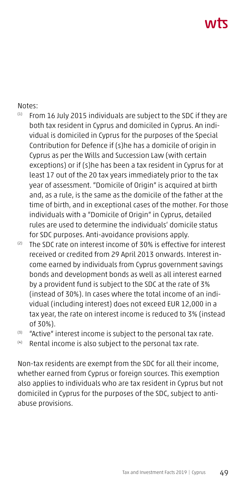# ハバて

#### Notes:

- $(1)$  From 16 July 2015 individuals are subject to the SDC if they are both tax resident in Cyprus and domiciled in Cyprus. An individual is domiciled in Cyprus for the purposes of the Special Contribution for Defence if (s)he has a domicile of origin in Cyprus as per the Wills and Succession Law (with certain exceptions) or if (s)he has been a tax resident in Cyprus for at least 17 out of the 20 tax years immediately prior to the tax year of assessment. "Domicile of Origin" is acquired at birth and, as a rule, is the same as the domicile of the father at the time of birth, and in exceptional cases of the mother. For those individuals with a "Domicile of Origin" in Cyprus, detailed rules are used to determine the individuals' domicile status for SDC purposes. Anti-avoidance provisions apply.
- (2) The SDC rate on interest income of 30% is effective for interest received or credited from 29 April 2013 onwards. Interest income earned by individuals from Cyprus government savings bonds and development bonds as well as all interest earned by a provident fund is subject to the SDC at the rate of 3% (instead of 30%). In cases where the total income of an individual (including interest) does not exceed EUR 12,000 in a tax year, the rate on interest income is reduced to 3% (instead of 30%).<br>(3) "Active" interest income is subject to the personal tax rate.
- 
- (4) Rental income is also subject to the personal tax rate.

Non-tax residents are exempt from the SDC for all their income, whether earned from Cyprus or foreign sources. This exemption also applies to individuals who are tax resident in Cyprus but not domiciled in Cyprus for the purposes of the SDC, subject to antiabuse provisions.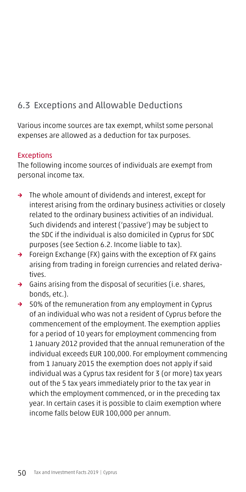## 6.3 Exceptions and Allowable Deductions

Various income sources are tax exempt, whilst some personal expenses are allowed as a deduction for tax purposes.

#### **Exceptions**

The following income sources of individuals are exempt from personal income tax.

- → The whole amount of dividends and interest, except for interest arising from the ordinary business activities or closely related to the ordinary business activities of an individual. Such dividends and interest ('passive') may be subject to the SDC if the individual is also domiciled in Cyprus for SDC purposes (see Section 6.2. Income liable to tax).
- → Foreign Exchange (FX) gains with the exception of FX gains arising from trading in foreign currencies and related derivatives.
- → Gains arising from the disposal of securities (i.e. shares, bonds, etc.).
- → 50% of the remuneration from any employment in Cyprus of an individual who was not a resident of Cyprus before the commencement of the employment. The exemption applies for a period of 10 years for employment commencing from 1 January 2012 provided that the annual remuneration of the individual exceeds EUR 100,000. For employment commencing from 1 January 2015 the exemption does not apply if said individual was a Cyprus tax resident for 3 (or more) tax years out of the 5 tax years immediately prior to the tax year in which the employment commenced, or in the preceding tax year. In certain cases it is possible to claim exemption where income falls below EUR 100,000 per annum.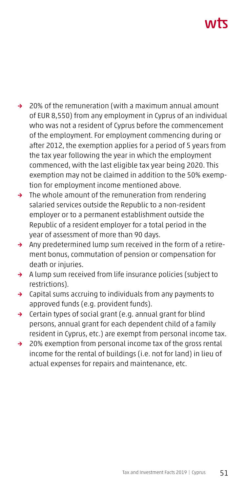# ハバて

- → 20% of the remuneration (with a maximum annual amount of EUR 8,550) from any employment in Cyprus of an individual who was not a resident of Cyprus before the commencement of the employment. For employment commencing during or after 2012, the exemption applies for a period of 5 years from the tax year following the year in which the employment commenced, with the last eligible tax year being 2020. This exemption may not be claimed in addition to the 50% exemption for employment income mentioned above.
- → The whole amount of the remuneration from rendering salaried services outside the Republic to a non-resident employer or to a permanent establishment outside the Republic of a resident employer for a total period in the year of assessment of more than 90 days.
- → Any predetermined lump sum received in the form of a retirement bonus, commutation of pension or compensation for death or injuries.
- → A lump sum received from life insurance policies (subject to restrictions).
- → Capital sums accruing to individuals from any payments to approved funds (e.g. provident funds).
- → Certain types of social grant (e.g. annual grant for blind persons, annual grant for each dependent child of a family resident in Cyprus, etc.) are exempt from personal income tax.
- → 20% exemption from personal income tax of the gross rental income for the rental of buildings (i.e. not for land) in lieu of actual expenses for repairs and maintenance, etc.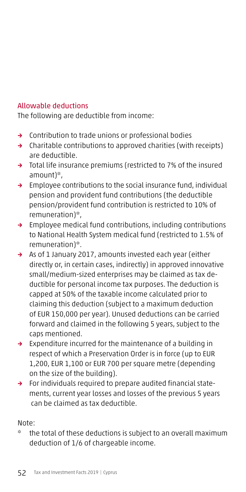## Allowable deductions

The following are deductible from income:

- → Contribution to trade unions or professional bodies
- → Charitable contributions to approved charities (with receipts) are deductible.
- → Total life insurance premiums (restricted to 7% of the insured amount)\*,
- → Employee contributions to the social insurance fund, individual pension and provident fund contributions (the deductible pension/provident fund contribution is restricted to 10% of remuneration)\*,
- → Employee medical fund contributions, including contributions to National Health System medical fund (restricted to 1.5% of remuneration)\*.
- → As of 1 January 2017, amounts invested each year (either directly or, in certain cases, indirectly) in approved innovative small/medium-sized enterprises may be claimed as tax deductible for personal income tax purposes. The deduction is capped at 50% of the taxable income calculated prior to claiming this deduction (subject to a maximum deduction of EUR 150,000 per year). Unused deductions can be carried forward and claimed in the following 5 years, subject to the caps mentioned.
- → Expenditure incurred for the maintenance of a building in respect of which a Preservation Order is in force (up to EUR 1,200, EUR 1,100 or EUR 700 per square metre (depending on the size of the building).
- → For individuals required to prepare audited financial statements, current year losses and losses of the previous 5 years can be claimed as tax deductible.

## Note:

\* the total of these deductions is subject to an overall maximum deduction of 1/6 of chargeable income.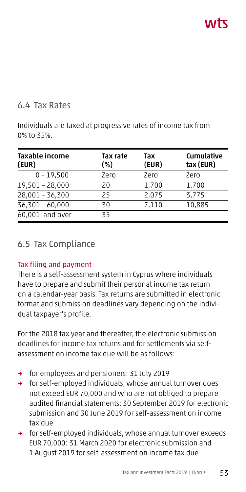## 6.4 Tax Rates

Individuals are taxed at progressive rates of income tax from 0% to 35%.

| Taxable income<br>(EUR) | Tax rate<br>(%) | Tax<br>(EUR) | <b>Cumulative</b><br>tax (EUR) |
|-------------------------|-----------------|--------------|--------------------------------|
| $0 - 19,500$            | Zero            | Zero         | Zero                           |
| 19,501 - 28,000         | 20              | 1,700        | 1,700                          |
| $28,001 - 36,300$       | 25              | 2,075        | 3.775                          |
| $36,301 - 60,000$       | 30              | 7,110        | 10,885                         |
| 60,001 and over         | 35              |              |                                |

## 6.5 Tax Compliance

## Tax filing and payment

There is a self-assessment system in Cyprus where individuals have to prepare and submit their personal income tax return on a calendar-year basis. Tax returns are submitted in electronic format and submission deadlines vary depending on the individual taxpayer's profile.

For the 2018 tax year and thereafter, the electronic submission deadlines for income tax returns and for settlements via selfassessment on income tax due will be as follows:

- → for employees and pensioners: 31 July 2019
- → for self-employed individuals, whose annual turnover does not exceed EUR 70,000 and who are not obliged to prepare audited financial statements: 30 September 2019 for electronic submission and 30 June 2019 for self-assessment on income tax due
- → for self-employed individuals, whose annual turnover exceeds EUR 70,000: 31 March 2020 for electronic submission and 1 August 2019 for self-assessment on income tax due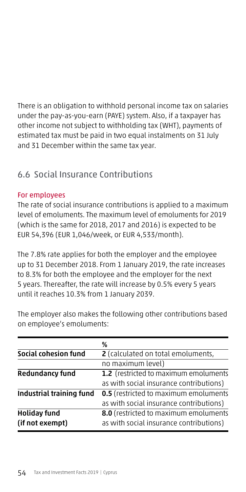There is an obligation to withhold personal income tax on salaries under the pay-as-you-earn (PAYE) system. Also, if a taxpayer has other income not subject to withholding tax (WHT), payments of estimated tax must be paid in two equal instalments on 31 July and 31 December within the same tax year.

## 6.6 Social Insurance Contributions

## For employees

The rate of social insurance contributions is applied to a maximum level of emoluments. The maximum level of emoluments for 2019 (which is the same for 2018, 2017 and 2016) is expected to be EUR 54,396 (EUR 1,046/week, or EUR 4,533/month).

The 7.8% rate applies for both the employer and the employee up to 31 December 2018. From 1 January 2019, the rate increases to 8.3% for both the employee and the employer for the next 5 years. Thereafter, the rate will increase by 0.5% every 5 years until it reaches 10.3% from 1 January 2039.

|                          | %                                            |
|--------------------------|----------------------------------------------|
| Social cohesion fund     | <b>2</b> (calculated on total emoluments,    |
|                          | no maximum level)                            |
| <b>Redundancy fund</b>   | 1.2 (restricted to maximum emoluments        |
|                          | as with social insurance contributions)      |
| Industrial training fund | <b>0.5</b> (restricted to maximum emoluments |
|                          | as with social insurance contributions)      |
| <b>Holiday fund</b>      | 8.0 (restricted to maximum emoluments        |
| (if not exempt)          | as with social insurance contributions)      |
|                          |                                              |

The employer also makes the following other contributions based on employee's emoluments: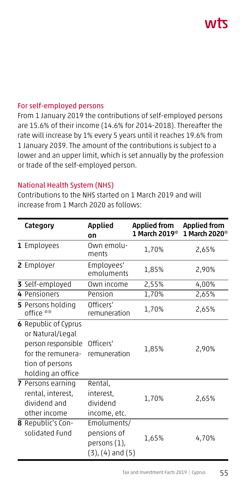# **VVIL**

#### For self-employed persons

From 1 January 2019 the contributions of self-employed persons are 15.6% of their income (14.6% for 2014-2018). Thereafter the rate will increase by 1% every 5 years until it reaches 19.6% from 1 January 2039. The amount of the contributions is subject to a lower and an upper limit, which is set annually by the profession or trade of the self-employed person.

#### National Health System (NHS)

Contributions to the NHS started on 1 March 2019 and will increase from 1 March 2020 as follows:

| Category                                                                                                                           | <b>Applied</b><br>Οn                                                  | <b>Applied from</b><br>1 March 2019* | <b>Applied from</b><br>1 March 2020* |
|------------------------------------------------------------------------------------------------------------------------------------|-----------------------------------------------------------------------|--------------------------------------|--------------------------------------|
| 1 Employees                                                                                                                        | Own emolu-<br>ments                                                   | 1,70%                                | 2,65%                                |
| 2 Employer                                                                                                                         | Employees'<br>emoluments                                              | 1,85%                                | 2,90%                                |
| 3 Self-employed                                                                                                                    | Own income                                                            | 2,55%                                | 4,00%                                |
| 4 Pensioners                                                                                                                       | Pension                                                               | 1,70%                                | 2,65%                                |
| 5 Persons holding<br>office **                                                                                                     | Officers'<br>remuneration                                             | 1,70%                                | 2,65%                                |
| <b>6</b> Republic of Cyprus<br>or Natural/Legal<br>person responsible<br>for the remunera-<br>tion of persons<br>holding an office | Officers'<br>remuneration                                             | 1,85%                                | 2,90%                                |
| 7 Persons earning<br>rental, interest,<br>dividend and<br>other income                                                             | Rental,<br>interest,<br>dividend<br>income, etc.                      | 1,70%                                | 2,65%                                |
| 8 Republic's Con-<br>solidated Fund                                                                                                | Emoluments/<br>pensions of<br>persons (1),<br>$(3)$ , $(4)$ and $(5)$ | 1,65%                                | 4,70%                                |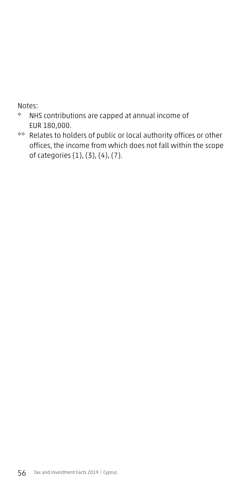Notes:

- \* NHS contributions are capped at annual income of EUR 180,000.
- \*\* Relates to holders of public or local authority offices or other offices, the income from which does not fall within the scope of categories (1), (3), (4), (7).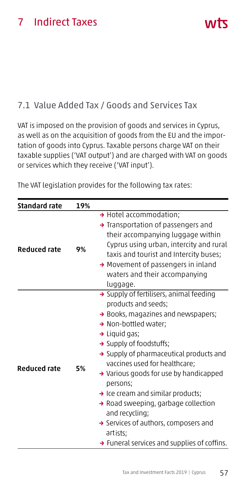## 7 Indirect Taxes

## 7.1 Value Added Tax / Goods and Services Tax

VAT is imposed on the provision of goods and services in Cyprus, as well as on the acquisition of goods from the EU and the importation of goods into Cyprus. Taxable persons charge VAT on their taxable supplies ('VAT output') and are charged with VAT on goods or services which they receive ('VAT input').

The VAT legislation provides for the following tax rates:

| <b>Standard rate</b> | 19% |                                                                                                                                                                                                                                                                                                                                                                                                                                                                                                                                                           |
|----------------------|-----|-----------------------------------------------------------------------------------------------------------------------------------------------------------------------------------------------------------------------------------------------------------------------------------------------------------------------------------------------------------------------------------------------------------------------------------------------------------------------------------------------------------------------------------------------------------|
| <b>Reduced rate</b>  | 9%  | → Hotel accommodation;<br>Transportation of passengers and<br>their accompanying luggage within<br>Cyprus using urban, intercity and rural<br>taxis and tourist and Intercity buses;<br>→ Movement of passengers in inland<br>waters and their accompanying<br>luggage.                                                                                                                                                                                                                                                                                   |
| <b>Reduced rate</b>  | 5%  | > Supply of fertilisers, animal feeding<br>products and seeds;<br>> Books, magazines and newspapers;<br>→ Non-bottled water;<br>$\rightarrow$ Liquid gas;<br>→ Supply of foodstuffs;<br>Supply of pharmaceutical products and<br>vaccines used for healthcare;<br>→ Various goods for use by handicapped<br>persons;<br>$\rightarrow$ Ice cream and similar products;<br>→ Road sweeping, garbage collection<br>and recycling;<br>$\rightarrow$ Services of authors, composers and<br>artists;<br>$\rightarrow$ Funeral services and supplies of coffins. |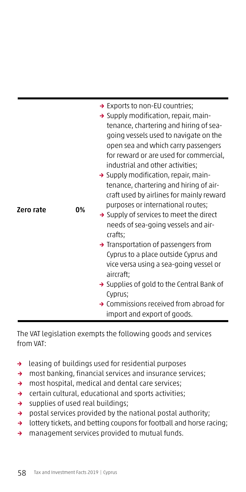|           |    | $\rightarrow$ Exports to non-EU countries;            |
|-----------|----|-------------------------------------------------------|
|           |    | $\rightarrow$ Supply modification, repair, main-      |
| Zero rate |    | tenance, chartering and hiring of sea-                |
|           |    | going vessels used to navigate on the                 |
|           |    | open sea and which carry passengers                   |
|           |    | for reward or are used for commercial,                |
|           |    | industrial and other activities;                      |
|           |    | $\rightarrow$ Supply modification, repair, main-      |
|           |    | tenance, chartering and hiring of air-                |
|           |    | craft used by airlines for mainly reward              |
|           | 0% | purposes or international routes;                     |
|           |    | $\rightarrow$ Supply of services to meet the direct   |
|           |    | needs of sea-going vessels and air-                   |
|           |    | crafts;                                               |
|           |    | $\rightarrow$ Transportation of passengers from       |
|           |    | Cyprus to a place outside Cyprus and                  |
|           |    | vice versa using a sea-going vessel or                |
|           |    | aircraft;                                             |
|           |    | $\rightarrow$ Supplies of gold to the Central Bank of |
|           |    | Cyprus;                                               |
|           |    | $\rightarrow$ Commissions received from abroad for    |
|           |    | import and export of goods.                           |

The VAT legislation exempts the following goods and services from VAT:

- → leasing of buildings used for residential purposes
- → most banking, financial services and insurance services;
- → most hospital, medical and dental care services;
- → certain cultural, educational and sports activities;
- → supplies of used real buildings;
- → postal services provided by the national postal authority;
- → lottery tickets, and betting coupons for football and horse racing;
- → management services provided to mutual funds.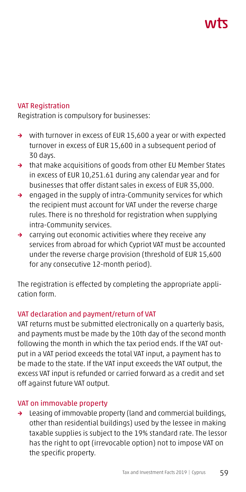# ハバて

#### VAT Registration

Registration is compulsory for businesses:

- → with turnover in excess of EUR 15,600 a year or with expected turnover in excess of EUR 15,600 in a subsequent period of 30 days.
- → that make acquisitions of goods from other EU Member States in excess of EUR 10,251.61 during any calendar year and for businesses that offer distant sales in excess of EUR 35,000.
- → engaged in the supply of intra-Community services for which the recipient must account for VAT under the reverse charge rules. There is no threshold for registration when supplying intra-Community services.
- → carrying out economic activities where they receive any services from abroad for which Cypriot VAT must be accounted under the reverse charge provision (threshold of EUR 15,600 for any consecutive 12-month period).

The registration is effected by completing the appropriate application form.

#### VAT declaration and payment/return of VAT

VAT returns must be submitted electronically on a quarterly basis, and payments must be made by the 10th day of the second month following the month in which the tax period ends. If the VAT output in a VAT period exceeds the total VAT input, a payment has to be made to the state. If the VAT input exceeds the VAT output, the excess VAT input is refunded or carried forward as a credit and set off against future VAT output.

## VAT on immovable property

→ Leasing of immovable property (land and commercial buildings, other than residential buildings) used by the lessee in making taxable supplies is subject to the 19% standard rate. The lessor has the right to opt (irrevocable option) not to impose VAT on the specific property.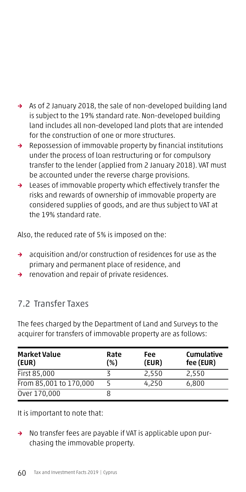- → As of 2 January 2018, the sale of non-developed building land is subject to the 19% standard rate. Non-developed building land includes all non-developed land plots that are intended for the construction of one or more structures.
- → Repossession of immovable property by financial institutions under the process of loan restructuring or for compulsory transfer to the lender (applied from 2 January 2018). VAT must be accounted under the reverse charge provisions.
- → Leases of immovable property which effectively transfer the risks and rewards of ownership of immovable property are considered supplies of goods, and are thus subject to VAT at the 19% standard rate.

Also, the reduced rate of 5% is imposed on the:

- → acquisition and/or construction of residences for use as the primary and permanent place of residence, and
- → renovation and repair of private residences.

## 7.2 Transfer Taxes

The fees charged by the Department of Land and Surveys to the acquirer for transfers of immovable property are as follows:

| <b>Market Value</b><br>(EUR) | Rate<br>(%) | Fee<br>(EUR) | <b>Cumulative</b><br>fee (EUR) |
|------------------------------|-------------|--------------|--------------------------------|
| First 85,000                 |             | 2,550        | 2,550                          |
| From 85,001 to 170,000       |             | 4,250        | 6,800                          |
| Over 170,000                 | 8           |              |                                |

It is important to note that:

→ No transfer fees are payable if VAT is applicable upon purchasing the immovable property.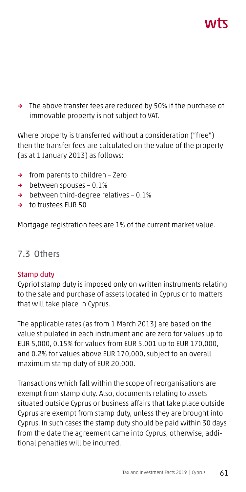# ハバて

→ The above transfer fees are reduced by 50% if the purchase of immovable property is not subject to VAT.

Where property is transferred without a consideration ("free") then the transfer fees are calculated on the value of the property (as at 1 January 2013) as follows:

- → from parents to children Zero
- → between spouses 0.1%
- → between third-degree relatives 0.1%
- → to trustees EUR 50

Mortgage registration fees are 1% of the current market value.

## 7.3 Others

## Stamp duty

Cypriot stamp duty is imposed only on written instruments relating to the sale and purchase of assets located in Cyprus or to matters that will take place in Cyprus.

The applicable rates (as from 1 March 2013) are based on the value stipulated in each instrument and are zero for values up to EUR 5,000, 0.15% for values from EUR 5,001 up to EUR 170,000, and 0.2% for values above EUR 170,000, subject to an overall maximum stamp duty of EUR 20,000.

Transactions which fall within the scope of reorganisations are exempt from stamp duty. Also, documents relating to assets situated outside Cyprus or business affairs that take place outside Cyprus are exempt from stamp duty, unless they are brought into Cyprus. In such cases the stamp duty should be paid within 30 days from the date the agreement came into Cyprus, otherwise, additional penalties will be incurred.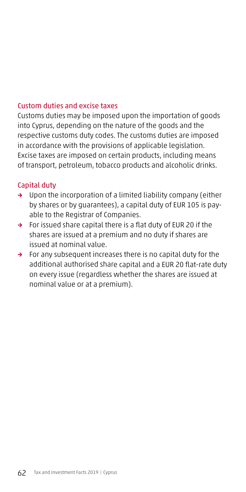#### Custom duties and excise taxes

Customs duties may be imposed upon the importation of goods into Cyprus, depending on the nature of the goods and the respective customs duty codes. The customs duties are imposed in accordance with the provisions of applicable legislation. Excise taxes are imposed on certain products, including means of transport, petroleum, tobacco products and alcoholic drinks.

#### Capital duty

- → Upon the incorporation of a limited liability company (either by shares or by guarantees), a capital duty of EUR 105 is payable to the Registrar of Companies.
- → For issued share capital there is a flat duty of EUR 20 if the shares are issued at a premium and no duty if shares are issued at nominal value.
- → For any subsequent increases there is no capital duty for the additional authorised share capital and a EUR 20 flat-rate duty on every issue (regardless whether the shares are issued at nominal value or at a premium).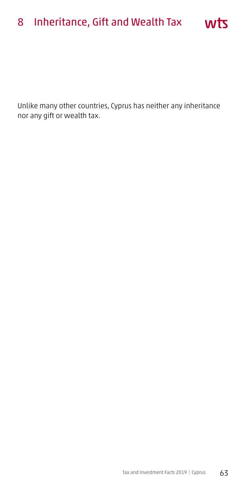# 8 Inheritance, Gift and Wealth Tax

Unlike many other countries, Cyprus has neither any inheritance nor any gift or wealth tax.

wts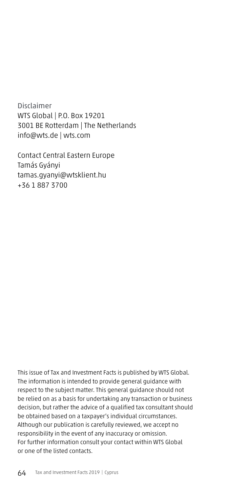Disclaimer WTS Global | P.O. Box 19201 3001 BE Rotterdam | The Netherlands info@wts.de | wts.com

Contact Central Eastern Europe Tamás Gyányi tamas.gyanyi@wtsklient.hu +36 1 887 3700

This issue of Tax and Investment Facts is published by WTS Global. The information is intended to provide general guidance with respect to the subject matter. This general guidance should not be relied on as a basis for undertaking any transaction or business decision, but rather the advice of a qualified tax consultant should be obtained based on a taxpayer's individual circumstances. Although our publication is carefully reviewed, we accept no responsibility in the event of any inaccuracy or omission. For further information consult your contact within WTS Global or one of the listed contacts.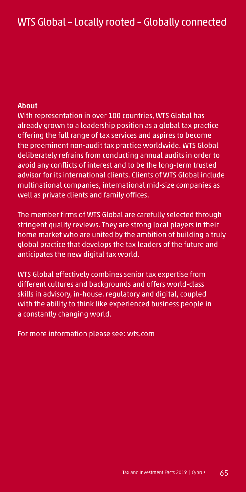#### About

With representation in over 100 countries, WTS Global has already grown to a leadership position as a global tax practice offering the full range of tax services and aspires to become the preeminent non-audit tax practice worldwide. WTS Global deliberately refrains from conducting annual audits in order to avoid any conflicts of interest and to be the long-term trusted advisor for its international clients. Clients of WTS Global include multinational companies, international mid-size companies as well as private clients and family offices.

The member firms of WTS Global are carefully selected through stringent quality reviews. They are strong local players in their home market who are united by the ambition of building a truly global practice that develops the tax leaders of the future and anticipates the new digital tax world.

WTS Global effectively combines senior tax expertise from different cultures and backgrounds and offers world-class skills in advisory, in-house, regulatory and digital, coupled with the ability to think like experienced business people in a constantly changing world.

For more information please see: wts.com